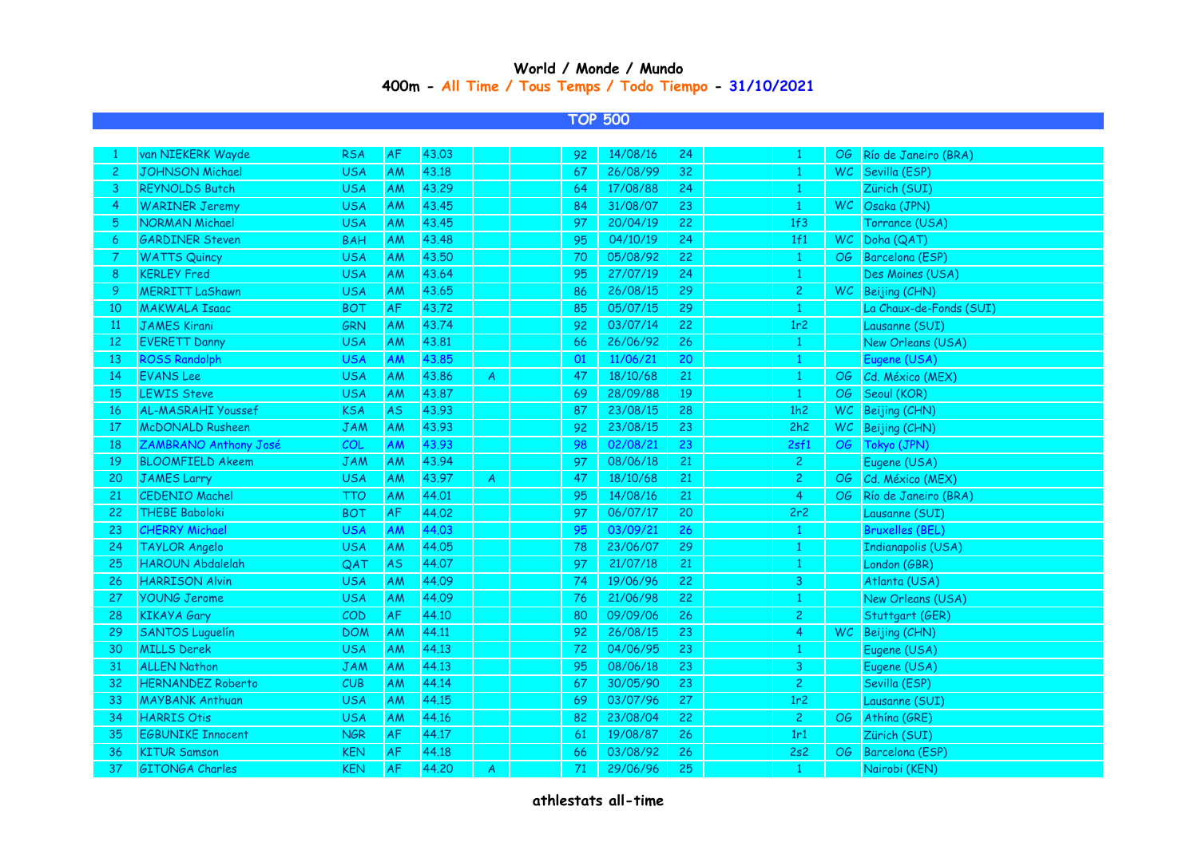## **400m - All Time / Tous Temps / Todo Tiempo - 31/10/2021 World / Monde / Mundo**

## **TOP 500**

| van NIEKERK Wayde         | <b>RSA</b> | <b>AF</b>  | 43.03 |                | 92 | 14/08/16 | 24 | $\mathbf{1}$   | OG.         | Río de Janeiro (BRA)      |
|---------------------------|------------|------------|-------|----------------|----|----------|----|----------------|-------------|---------------------------|
| <b>JOHNSON Michael</b>    | <b>USA</b> | AM         | 43.18 |                | 67 | 26/08/99 | 32 | $\mathbf{1}$   |             | WC Sevilla (ESP)          |
| <b>REYNOLDS Butch</b>     | <b>USA</b> | <b>AM</b>  | 43.29 |                | 64 | 17/08/88 | 24 | $\mathbf{1}$   |             | Zürich (SUI)              |
| <b>WARINER Jeremy</b>     | <b>USA</b> | AM         | 43.45 |                | 84 | 31/08/07 | 23 | $\mathbf{1}$   |             | WC Osaka (JPN)            |
| <b>NORMAN Michael</b>     | <b>USA</b> | AM         | 43.45 |                | 97 | 20/04/19 | 22 |                |             | Torrance (USA)            |
| <b>GARDINER Steven</b>    | <b>BAH</b> | AM         | 43.48 |                | 95 | 04/10/19 | 24 | 1f1            | WC          | Doha (QAT)                |
| <b>WATTS Quincy</b>       | <b>USA</b> | AM         | 43.50 |                | 70 | 05/08/92 | 22 | $\mathbf{1}$   | OG          | Barcelona (ESP)           |
| <b>KERLEY Fred</b>        | <b>USA</b> | AM         | 43.64 |                | 95 | 27/07/19 | 24 | $\mathbf{1}$   |             | Des Moines (USA)          |
| <b>MERRITT LaShawn</b>    | <b>USA</b> | AM         | 43.65 |                | 86 | 26/08/15 | 29 | $\overline{c}$ |             | WC Beijing (CHN)          |
| <b>MAKWALA Isaac</b>      | <b>BOT</b> | ${\sf AF}$ | 43.72 |                | 85 | 05/07/15 | 29 | $\mathbf{1}$   |             | La Chaux-de-Fonds (SUI)   |
| <b>JAMES Kirani</b>       | <b>GRN</b> | AM         | 43.74 |                | 92 | 03/07/14 | 22 | 1r2            |             | Lausanne (SUI)            |
| <b>EVERETT Danny</b>      | <b>USA</b> | AM         | 43.81 |                | 66 | 26/06/92 | 26 | $\mathbf{1}$   |             | New Orleans (USA)         |
| <b>ROSS Randolph</b>      | <b>USA</b> | AM         | 43.85 |                | 01 | 11/06/21 | 20 | $\mathbf{1}$   |             | Eugene (USA)              |
| <b>EVANS</b> Lee          | <b>USA</b> | AM         | 43.86 | $\overline{A}$ | 47 | 18/10/68 | 21 | $\mathbf{1}$   | OG          | Cd. México (MEX)          |
| <b>LEWIS Steve</b>        | <b>USA</b> | AM         | 43.87 |                | 69 | 28/09/88 | 19 | $\mathbf{1}$   | OG          | Seoul (KOR)               |
| <b>AL-MASRAHI Youssef</b> | <b>KSA</b> | <b>AS</b>  | 43.93 |                | 87 | 23/08/15 | 28 | 1h2            | WC.         | Beijing (CHN)             |
| <b>McDONALD Rusheen</b>   | <b>JAM</b> | AM         | 43.93 |                | 92 | 23/08/15 | 23 | 2h2            |             | WC Beijing (CHN)          |
| ZAMBRANO Anthony José     | <b>COL</b> | AM         | 43.93 |                | 98 | 02/08/21 | 23 |                | OG          | Tokyo (JPN)               |
| <b>BLOOMFIELD Akeem</b>   | <b>JAM</b> | <b>AM</b>  | 43.94 |                | 97 | 08/06/18 | 21 | $\mathbf{2}$   |             | Eugene (USA)              |
| <b>JAMES Larry</b>        | <b>USA</b> | AM         | 43.97 | $\mathcal{A}$  | 47 | 18/10/68 | 21 | $\mathbf{2}$   | OG          | Cd. México (MEX)          |
| <b>CEDENIO Machel</b>     | <b>TTO</b> | AM         | 44.01 |                | 95 | 14/08/16 | 21 | $\overline{4}$ | OG -        | Río de Janeiro (BRA)      |
| <b>THEBE Baboloki</b>     | <b>BOT</b> | AF         | 44.02 |                | 97 | 06/07/17 | 20 | 2r2            |             | Lausanne (SUI)            |
| <b>CHERRY Michael</b>     | <b>USA</b> | AM         | 44.03 |                | 95 | 03/09/21 | 26 | $\mathbf{1}$   |             | <b>Bruxelles (BEL)</b>    |
| <b>TAYLOR Angelo</b>      | <b>USA</b> | AM         | 44.05 |                | 78 | 23/06/07 | 29 | $\mathbf{1}$   |             | <b>Indianapolis (USA)</b> |
| <b>HAROUN Abdalelah</b>   | QAT        | <b>AS</b>  | 44.07 |                | 97 | 21/07/18 | 21 | $\mathbf{1}$   |             | London (GBR)              |
| <b>HARRISON Alvin</b>     | <b>USA</b> | AM         | 44.09 |                | 74 | 19/06/96 | 22 | 3              |             | Atlanta (USA)             |
| <b>YOUNG Jerome</b>       | <b>USA</b> | AM         | 44.09 |                | 76 | 21/06/98 | 22 | $\mathbf{1}$   |             | New Orleans (USA)         |
| <b>KIKAYA Gary</b>        | COD        | AF         | 44.10 |                | 80 | 09/09/06 | 26 | $\overline{c}$ |             | Stuttgart (GER)           |
| <b>SANTOS Luguelín</b>    | <b>DOM</b> | AM         | 44.11 |                | 92 | 26/08/15 | 23 | $\overline{4}$ |             | WC Beijing (CHN)          |
| <b>MILLS Derek</b>        | <b>USA</b> | AM         | 44.13 |                | 72 | 04/06/95 | 23 | $\mathbf{1}$   |             | Eugene (USA)              |
| <b>ALLEN Nathon</b>       | <b>JAM</b> | AM         | 44.13 |                | 95 | 08/06/18 | 23 | 3              |             | Eugene (USA)              |
| <b>HERNANDEZ Roberto</b>  | CUB        | AM         | 44.14 |                | 67 | 30/05/90 | 23 | $\overline{c}$ |             | Sevilla (ESP)             |
| <b>MAYBANK Anthuan</b>    | <b>USA</b> | AM         | 44.15 |                | 69 | 03/07/96 | 27 | 1r2            |             | Lausanne (SUI)            |
| <b>HARRIS Otis</b>        | <b>USA</b> | AM         | 44.16 |                | 82 | 23/08/04 | 22 | $\mathbf{2}$   | OG          | Athína (GRE)              |
| <b>EGBUNIKE Innocent</b>  | <b>NGR</b> | AF         | 44.17 |                | 61 | 19/08/87 | 26 | 1r1            |             | Zürich (SUI)              |
| <b>KITUR Samson</b>       | <b>KEN</b> | AF         | 44.18 |                | 66 | 03/08/92 | 26 | 2s2            | OG          | Barcelona (ESP)           |
| <b>GITONGA Charles</b>    | <b>KEN</b> | <b>AF</b>  | 44.20 | A              | 71 | 29/06/96 | 25 | -1             |             | Nairobi (KEN)             |
|                           |            |            |       |                |    |          |    |                | 1f3<br>2sf1 |                           |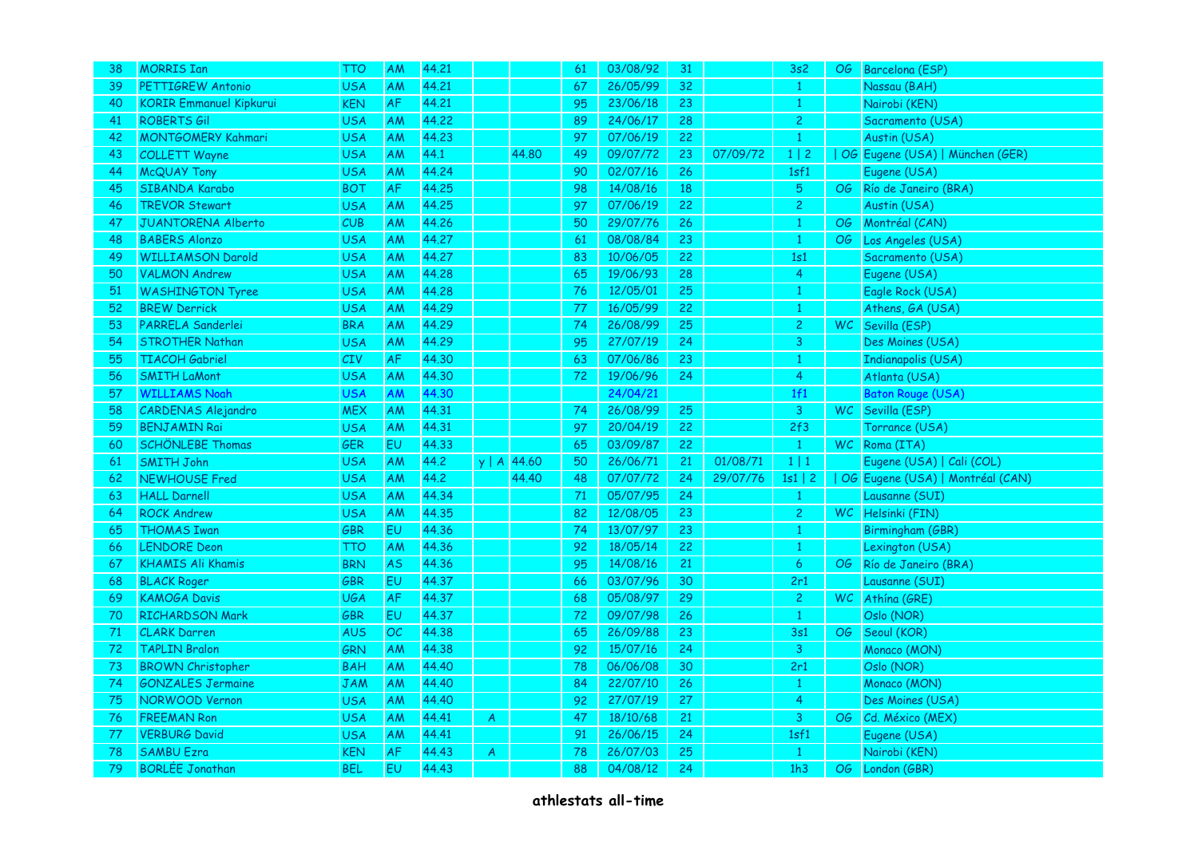| 38 | <b>MORRIS Ian</b>              | TTO        | AM        | 44.21 |                  |               | 61 | 03/08/92 | 31 |          | 3s2               | OG  | Barcelona (ESP)                  |
|----|--------------------------------|------------|-----------|-------|------------------|---------------|----|----------|----|----------|-------------------|-----|----------------------------------|
| 39 | PETTIGREW Antonio              | <b>USA</b> | AM        | 44.21 |                  |               | 67 | 26/05/99 | 32 |          | $\mathbf{1}$      |     | Nassau (BAH)                     |
| 40 | <b>KORIR Emmanuel Kipkurui</b> | <b>KEN</b> | AF        | 44.21 |                  |               | 95 | 23/06/18 | 23 |          | $\mathbf{1}$      |     | Nairobi (KEN)                    |
| 41 | <b>ROBERTS Gil</b>             | <b>USA</b> | AM        | 44.22 |                  |               | 89 | 24/06/17 | 28 |          | $\overline{c}$    |     | Sacramento (USA)                 |
| 42 | <b>MONTGOMERY Kahmari</b>      | <b>USA</b> | AM        | 44.23 |                  |               | 97 | 07/06/19 | 22 |          | $\mathbf{1}$      |     | Austin (USA)                     |
| 43 | <b>COLLETT Wayne</b>           | <b>USA</b> | AM        | 44.1  |                  | 44.80         | 49 | 09/07/72 | 23 | 07/09/72 | 1   2             |     | OG Eugene (USA)   München (GER)  |
| 44 | <b>McQUAY Tony</b>             | <b>USA</b> | AM        | 44.24 |                  |               | 90 | 02/07/16 | 26 |          | 1 <sub>s</sub> f1 |     | Eugene (USA)                     |
| 45 | SIBANDA Karabo                 | <b>BOT</b> | AF        | 44.25 |                  |               | 98 | 14/08/16 | 18 |          | $\sqrt{5}$        | OG  | Río de Janeiro (BRA)             |
| 46 | <b>TREVOR Stewart</b>          | <b>USA</b> | AM        | 44.25 |                  |               | 97 | 07/06/19 | 22 |          | $\overline{c}$    |     | Austin (USA)                     |
| 47 | <b>JUANTORENA Alberto</b>      | CUB        | AM        | 44.26 |                  |               | 50 | 29/07/76 | 26 |          | $\mathbf{1}$      | OG  | Montréal (CAN)                   |
| 48 | <b>BABERS Alonzo</b>           | <b>USA</b> | AM        | 44.27 |                  |               | 61 | 08/08/84 | 23 |          | $\mathbf{1}$      | OG  | Los Angeles (USA)                |
| 49 | <b>WILLIAMSON Darold</b>       | <b>USA</b> | AM        | 44.27 |                  |               | 83 | 10/06/05 | 22 |          | 1s1               |     | Sacramento (USA)                 |
| 50 | <b>VALMON Andrew</b>           | <b>USA</b> | AM        | 44.28 |                  |               | 65 | 19/06/93 | 28 |          | $\overline{4}$    |     | Eugene (USA)                     |
| 51 | <b>WASHINGTON Tyree</b>        | <b>USA</b> | AM        | 44.28 |                  |               | 76 | 12/05/01 | 25 |          | $\mathbf{1}$      |     | Eagle Rock (USA)                 |
| 52 | <b>BREW Derrick</b>            | <b>USA</b> | AM        | 44.29 |                  |               | 77 | 16/05/99 | 22 |          | $\mathbf{1}$      |     | Athens, GA (USA)                 |
| 53 | PARRELA Sanderlei              | <b>BRA</b> | AM        | 44.29 |                  |               | 74 | 26/08/99 | 25 |          | $\mathbf{2}$      |     | WC Sevilla (ESP)                 |
| 54 | <b>STROTHER Nathan</b>         | <b>USA</b> | AM        | 44.29 |                  |               | 95 | 27/07/19 | 24 |          | $\mathbf{3}$      |     | Des Moines (USA)                 |
| 55 | <b>TIACOH Gabriel</b>          | <b>CIV</b> | AF        | 44.30 |                  |               | 63 | 07/06/86 | 23 |          | $\mathbf{1}$      |     | Indianapolis (USA)               |
| 56 | <b>SMITH LaMont</b>            | <b>USA</b> | AM        | 44.30 |                  |               | 72 | 19/06/96 | 24 |          | $\overline{4}$    |     | Atlanta (USA)                    |
| 57 | <b>WILLIAMS Noah</b>           | <b>USA</b> | AM        | 44.30 |                  |               |    | 24/04/21 |    |          | 1f1               |     | Baton Rouge (USA)                |
| 58 | <b>CARDENAS Alejandro</b>      | <b>MEX</b> | AM        | 44.31 |                  |               | 74 | 26/08/99 | 25 |          | 3                 |     | WC Sevilla (ESP)                 |
| 59 | <b>BENJAMIN Rai</b>            | <b>USA</b> | AM        | 44.31 |                  |               | 97 | 20/04/19 | 22 |          | 2f3               |     | Torrance (USA)                   |
| 60 | <b>SCHÖNLEBE Thomas</b>        | GER        | <b>EU</b> | 44.33 |                  |               | 65 | 03/09/87 | 22 |          | $\mathbf{1}$      | WC. | Roma (ITA)                       |
| 61 | <b>SMITH John</b>              | <b>USA</b> | AM        | 44.2  |                  | y   A   44.60 | 50 | 26/06/71 | 21 | 01/08/71 | $1 \mid 1$        |     | Eugene (USA)   Cali (COL)        |
| 62 | <b>NEWHOUSE Fred</b>           | <b>USA</b> | AM        | 44.2  |                  | 44.40         | 48 | 07/07/72 | 24 | 29/07/76 | $1s1 \mid 2$      |     | OG Eugene (USA)   Montréal (CAN) |
| 63 | <b>HALL Darnell</b>            | <b>USA</b> | AM        | 44.34 |                  |               | 71 | 05/07/95 | 24 |          | $\mathbf{1}$      |     | Lausanne (SUI)                   |
| 64 | <b>ROCK Andrew</b>             | <b>USA</b> | ΑM        | 44.35 |                  |               | 82 | 12/08/05 | 23 |          | $\overline{c}$    |     | WC Helsinki (FIN)                |
| 65 | <b>THOMAS Iwan</b>             | GBR        | <b>EU</b> | 44.36 |                  |               | 74 | 13/07/97 | 23 |          | $\mathbf{1}$      |     | Birmingham (GBR)                 |
| 66 | <b>LENDORE</b> Deon            | TTO        | AM        | 44.36 |                  |               | 92 | 18/05/14 | 22 |          | $\mathbf{1}$      |     | Lexington (USA)                  |
| 67 | <b>KHAMIS Ali Khamis</b>       | <b>BRN</b> | <b>AS</b> | 44.36 |                  |               | 95 | 14/08/16 | 21 |          | $\overline{6}$    | OG  | Río de Janeiro (BRA)             |
| 68 | <b>BLACK Roger</b>             | GBR        | EU        | 44.37 |                  |               | 66 | 03/07/96 | 30 |          | 2r1               |     | Lausanne (SUI)                   |
| 69 | <b>KAMOGA Davis</b>            | <b>UGA</b> | AF        | 44.37 |                  |               | 68 | 05/08/97 | 29 |          | $\overline{c}$    |     | WC Athina (GRE)                  |
| 70 | <b>RICHARDSON Mark</b>         | GBR        | EU        | 44.37 |                  |               | 72 | 09/07/98 | 26 |          | $\mathbf{1}$      |     | Oslo (NOR)                       |
| 71 | <b>CLARK Darren</b>            | AUS        | OC.       | 44.38 |                  |               | 65 | 26/09/88 | 23 |          | 3s1               | OG  | Seoul (KOR)                      |
| 72 | <b>TAPLIN Bralon</b>           | GRN        | AM        | 44.38 |                  |               | 92 | 15/07/16 | 24 |          | 3                 |     | Monaco (MON)                     |
| 73 | <b>BROWN Christopher</b>       | <b>BAH</b> | AM        | 44.40 |                  |               | 78 | 06/06/08 | 30 |          | 2r1               |     | Oslo (NOR)                       |
| 74 | <b>GONZALES Jermaine</b>       | <b>JAM</b> | AM        | 44.40 |                  |               | 84 | 22/07/10 | 26 |          | $\mathbf{1}$      |     | Monaco (MON)                     |
| 75 | NORWOOD Vernon                 | <b>USA</b> | AM        | 44.40 |                  |               | 92 | 27/07/19 | 27 |          | $\overline{4}$    |     | Des Moines (USA)                 |
| 76 | <b>FREEMAN Ron</b>             | <b>USA</b> | AM        | 44.41 | A                |               | 47 | 18/10/68 | 21 |          | $\mathbf{3}$      | OG  | Cd. México (MEX)                 |
| 77 | <b>VERBURG David</b>           | <b>USA</b> | AM        | 44.41 |                  |               | 91 | 26/06/15 | 24 |          | 1sf1              |     | Eugene (USA)                     |
| 78 | <b>SAMBU Ezra</b>              | <b>KEN</b> | AF        | 44.43 | $\boldsymbol{A}$ |               | 78 | 26/07/03 | 25 |          | $\mathbf{1}$      |     | Nairobi (KEN)                    |
| 79 | <b>BORLÉE Jonathan</b>         | <b>BEL</b> | <b>EU</b> | 44.43 |                  |               | 88 | 04/08/12 | 24 |          | 1h3               | OG. | London (GBR)                     |
|    |                                |            |           |       |                  |               |    |          |    |          |                   |     |                                  |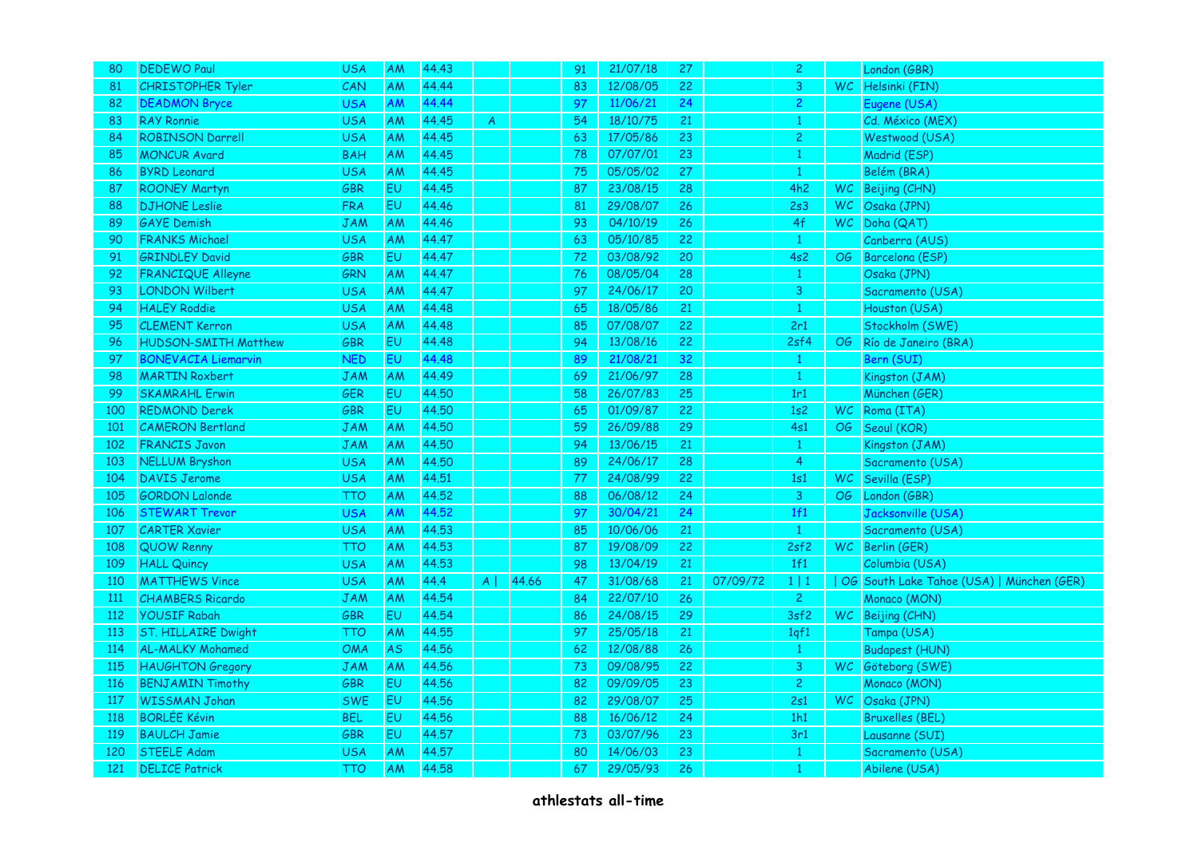| 80         | <b>DEDEWO Paul</b>          | <b>USA</b> | AM        | 44.43 |          |       | 91 | 21/07/18 | 27 |          | $\overline{c}$ | London (GBR)                              |
|------------|-----------------------------|------------|-----------|-------|----------|-------|----|----------|----|----------|----------------|-------------------------------------------|
| 81         | <b>CHRISTOPHER Tyler</b>    | CAN        | AM        | 44.44 |          |       | 83 | 12/08/05 | 22 |          | 3              | WC Helsinki (FIN)                         |
| 82         | <b>DEADMON Bryce</b>        | <b>USA</b> | AM        | 44.44 |          |       | 97 | 11/06/21 | 24 |          | $\overline{c}$ | Eugene (USA)                              |
| 83         | <b>RAY Ronnie</b>           | <b>USA</b> | AM        | 44.45 | A        |       | 54 | 18/10/75 | 21 |          | $\mathbf{1}$   | Cd. México (MEX)                          |
| 84         | <b>ROBINSON Darrell</b>     | <b>USA</b> | AM        | 44.45 |          |       | 63 | 17/05/86 | 23 |          | $\overline{c}$ | Westwood (USA)                            |
| 85         | <b>MONCUR Avard</b>         | <b>BAH</b> | AM        | 44.45 |          |       | 78 | 07/07/01 | 23 |          | $\mathbf{1}$   | Madrid (ESP)                              |
| 86         | <b>BYRD Leonard</b>         | <b>USA</b> | AM        | 44.45 |          |       | 75 | 05/05/02 | 27 |          | $\mathbf{1}$   | Belém (BRA)                               |
| 87         | <b>ROONEY Martyn</b>        | <b>GBR</b> | EU        | 44.45 |          |       | 87 | 23/08/15 | 28 |          | 4h2            | WC Beijing (CHN)                          |
| 88         | <b>DJHONE</b> Leslie        | <b>FRA</b> | EU        | 44.46 |          |       | 81 | 29/08/07 | 26 |          | 2s3            | WC Osaka (JPN)                            |
| 89         | <b>GAYE</b> Demish          | <b>JAM</b> | AM        | 44.46 |          |       | 93 | 04/10/19 | 26 |          | 4f             | WC Doha (QAT)                             |
| 90         | <b>FRANKS Michael</b>       | <b>USA</b> | <b>AM</b> | 44.47 |          |       | 63 | 05/10/85 | 22 |          | $\mathbf{1}$   | Canberra (AUS)                            |
| 91         | <b>GRINDLEY David</b>       | GBR        | EU        | 44.47 |          |       | 72 | 03/08/92 | 20 |          | 4s2            | OG Barcelona (ESP)                        |
| 92         | <b>FRANCIQUE Alleyne</b>    | <b>GRN</b> | AM        | 44.47 |          |       | 76 | 08/05/04 | 28 |          | $\mathbf{1}$   | Osaka (JPN)                               |
| 93         | <b>LONDON Wilbert</b>       | <b>USA</b> | <b>AM</b> | 44.47 |          |       | 97 | 24/06/17 | 20 |          | 3              | Sacramento (USA)                          |
| 94         | <b>HALEY Roddie</b>         | <b>USA</b> | AM        | 44.48 |          |       | 65 | 18/05/86 | 21 |          | $\,1\,$        | Houston (USA)                             |
| 95         | <b>CLEMENT Kerron</b>       | <b>USA</b> | AM        | 44.48 |          |       | 85 | 07/08/07 | 22 |          | 2r1            | Stockholm (SWE)                           |
| 96         | <b>HUDSON-SMITH Matthew</b> | GBR        | EU        | 44.48 |          |       | 94 | 13/08/16 | 22 |          | 2sf4           | OG Río de Janeiro (BRA)                   |
| 97         | <b>BONEVACIA Liemarvin</b>  | <b>NED</b> | EU        | 44.48 |          |       | 89 | 21/08/21 | 32 |          | $\mathbf{1}$   | Bern (SUI)                                |
| 98         | <b>MARTIN Roxbert</b>       | <b>JAM</b> | AM        | 44.49 |          |       | 69 | 21/06/97 | 28 |          | $\mathbf{1}$   | Kingston (JAM)                            |
| 99         | <b>SKAMRAHL Erwin</b>       | <b>GER</b> | <b>EU</b> | 44.50 |          |       | 58 | 26/07/83 | 25 |          | 1r1            | München (GER)                             |
| 100        | <b>REDMOND Derek</b>        | GBR        | EU        | 44.50 |          |       | 65 | 01/09/87 | 22 |          | 1s2            | WC Roma (ITA)                             |
| 101        | <b>CAMERON Bertland</b>     | <b>JAM</b> | AM        | 44.50 |          |       | 59 | 26/09/88 | 29 |          | 4s1            | OG Seoul (KOR)                            |
| 102        | <b>FRANCIS Javon</b>        | <b>JAM</b> | AM        | 44.50 |          |       | 94 | 13/06/15 | 21 |          | $\mathbf{1}$   | Kingston (JAM)                            |
| 103        | <b>NELLUM Bryshon</b>       | <b>USA</b> | AM        | 44.50 |          |       | 89 | 24/06/17 | 28 |          | $\overline{4}$ | Sacramento (USA)                          |
| 104        | <b>DAVIS Jerome</b>         | <b>USA</b> | <b>AM</b> | 44.51 |          |       | 77 | 24/08/99 | 22 |          | 1s1            | WC Sevilla (ESP)                          |
| 105        | <b>GORDON Lalonde</b>       | <b>TTO</b> | AM        | 44.52 |          |       | 88 | 06/08/12 | 24 |          | 3              | OG London (GBR)                           |
| 106        | <b>STEWART Trevor</b>       | <b>USA</b> | AM        | 44.52 |          |       | 97 | 30/04/21 | 24 |          | 1f1            | Jacksonville (USA)                        |
| 107        | <b>CARTER Xavier</b>        | <b>USA</b> | <b>AM</b> | 44.53 |          |       | 85 | 10/06/06 | 21 |          | $\mathbf{1}$   | Sacramento (USA)                          |
| 108        | QUOW Renny                  | <b>TTO</b> | AM        | 44.53 |          |       | 87 | 19/08/09 | 22 |          | 2sf2           | WC Berlin (GER)                           |
| 109        | <b>HALL Quincy</b>          | <b>USA</b> | AM        | 44.53 |          |       | 98 | 13/04/19 | 21 |          | 1f1            | Columbia (USA)                            |
| 110        | <b>MATTHEWS Vince</b>       | <b>USA</b> | AM        | 44.4  | $A \mid$ | 44.66 | 47 | 31/08/68 | 21 | 07/09/72 | $1 \mid 1$     | OG South Lake Tahoe (USA)   München (GER) |
| 111        | <b>CHAMBERS Ricardo</b>     | <b>JAM</b> | AM        | 44.54 |          |       | 84 | 22/07/10 | 26 |          | $\overline{2}$ | Monaco (MON)                              |
| 112        | <b>YOUSIF Rabah</b>         | <b>GBR</b> | EU        | 44.54 |          |       | 86 | 24/08/15 | 29 |          | 3sf2           | WC Beijing (CHN)                          |
| 113        | <b>ST. HILLAIRE Dwight</b>  | тто        | AM        | 44.55 |          |       | 97 | 25/05/18 | 21 |          | 1qf1           | Tampa (USA)                               |
| 114        | <b>AL-MALKY Mohamed</b>     | <b>OMA</b> | AS        | 44.56 |          |       | 62 | 12/08/88 | 26 |          | $\mathbf{1}$   | Budapest (HUN)                            |
| 115        | <b>HAUGHTON Gregory</b>     | <b>JAM</b> | AM        | 44.56 |          |       | 73 | 09/08/95 | 22 |          | $\mathsf{3}$   | WC Göteborg (SWE)                         |
| <b>116</b> | <b>BENJAMIN Timothy</b>     | GBR        | EU        | 44.56 |          |       | 82 | 09/09/05 | 23 |          | $\overline{2}$ | Monaco (MON)                              |
| 117        | <b>WISSMAN Johan</b>        | <b>SWE</b> | EU        | 44.56 |          |       | 82 | 29/08/07 | 25 |          | 2s1            | WC Osaka (JPN)                            |
| 118        | <b>BORLÉE Kévin</b>         | <b>BEL</b> | EU        | 44.56 |          |       | 88 | 16/06/12 | 24 |          | 1h1            | <b>Bruxelles (BEL)</b>                    |
| 119        | <b>BAULCH Jamie</b>         | GBR        | EU        | 44.57 |          |       | 73 | 03/07/96 | 23 |          | 3r1            | Lausanne (SUI)                            |
| 120        | <b>STEELE Adam</b>          | <b>USA</b> | AM        | 44.57 |          |       | 80 | 14/06/03 | 23 |          | $\mathbf{1}$   | Sacramento (USA)                          |
| 121        | <b>DELICE Patrick</b>       | <b>TTO</b> | AM        | 44.58 |          |       | 67 | 29/05/93 | 26 |          | -1             | Abilene (USA)                             |
|            |                             |            |           |       |          |       |    |          |    |          |                |                                           |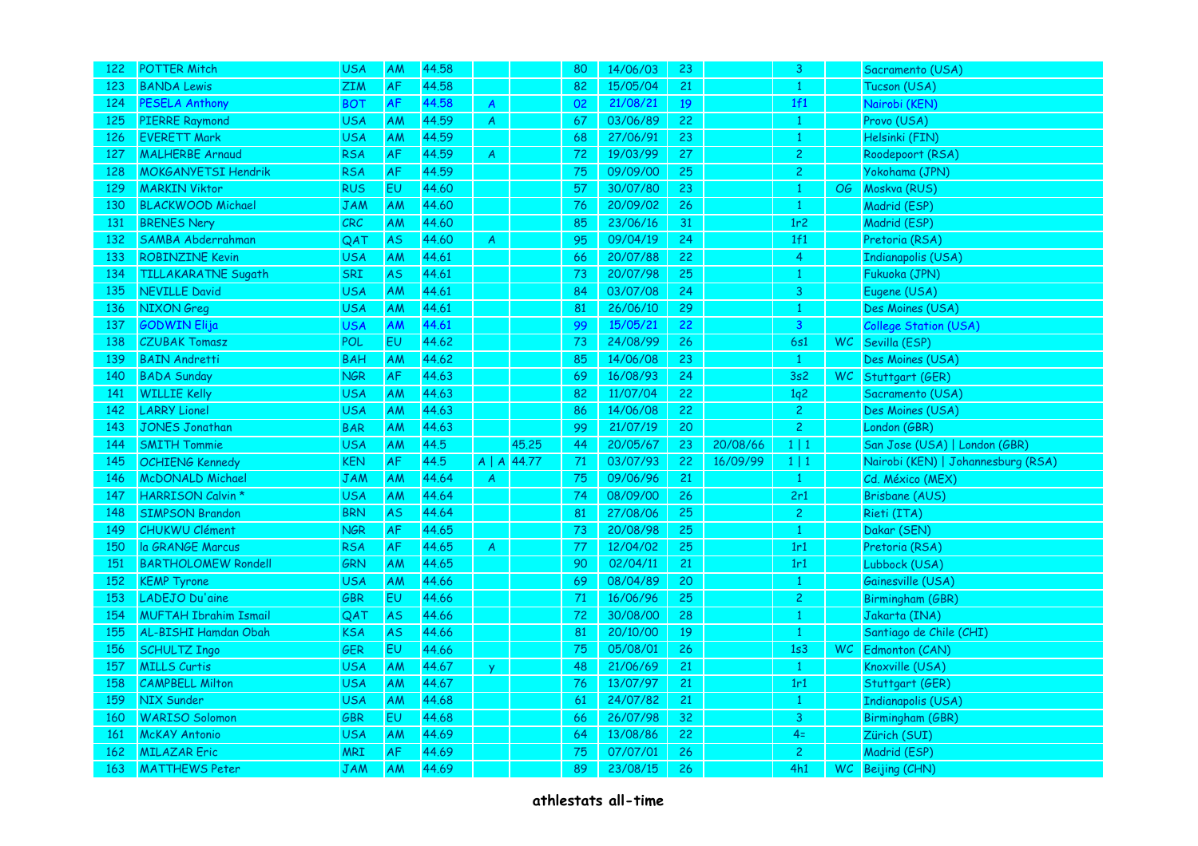| 122        | <b>POTTER Mitch</b>          | <b>USA</b> | AM        | 44.58 |                  |                       | 80     | 14/06/03 | 23 |          | 3               |      | Sacramento (USA)                   |
|------------|------------------------------|------------|-----------|-------|------------------|-----------------------|--------|----------|----|----------|-----------------|------|------------------------------------|
| 123        | <b>BANDA Lewis</b>           | ZIM        | AF        | 44.58 |                  |                       | 82     | 15/05/04 | 21 |          | $\mathbf{1}$    |      | Tucson (USA)                       |
| 124        | <b>PESELA Anthony</b>        | <b>BOT</b> | AF        | 44.58 | $\boldsymbol{A}$ |                       | 02     | 21/08/21 | 19 |          | 1f1             |      | Nairobi (KEN)                      |
| 125        | <b>PIERRE Raymond</b>        | <b>USA</b> | <b>AM</b> | 44.59 | A                |                       | 67     | 03/06/89 | 22 |          | $\mathbf{1}$    |      | Provo (USA)                        |
| 126        | <b>EVERETT Mark</b>          | <b>USA</b> | <b>AM</b> | 44.59 |                  |                       | 68     | 27/06/91 | 23 |          | $\mathbf{1}$    |      | Helsinki (FIN)                     |
| 127        | <b>MALHERBE Arnaud</b>       | <b>RSA</b> | AF        | 44.59 | $\boldsymbol{A}$ |                       | 72     | 19/03/99 | 27 |          | $\overline{c}$  |      | Roodepoort (RSA)                   |
| 128        | <b>MOKGANYETSI Hendrik</b>   | <b>RSA</b> | AF        | 44.59 |                  |                       | 75     | 09/09/00 | 25 |          | $\overline{c}$  |      | Yokohama (JPN)                     |
| 129        | <b>MARKIN Viktor</b>         | <b>RUS</b> | EU        | 44.60 |                  |                       | 57     | 30/07/80 | 23 |          | $\mathbf{1}$    |      | OG Moskva (RUS)                    |
| 130        | <b>BLACKWOOD Michael</b>     | JAM        | <b>AM</b> | 44.60 |                  |                       | 76     | 20/09/02 | 26 |          | $\mathbf{1}$    |      | Madrid (ESP)                       |
| 131        | <b>BRENES Nery</b>           | CRC        | AM        | 44.60 |                  |                       | 85     | 23/06/16 | 31 |          | 1r <sub>2</sub> |      | Madrid (ESP)                       |
| 132        | SAMBA Abderrahman            | QAT        | <b>AS</b> | 44.60 | $\boldsymbol{A}$ |                       | 95     | 09/04/19 | 24 |          | 1f1             |      | Pretoria (RSA)                     |
| 133        | <b>ROBINZINE Kevin</b>       | <b>USA</b> | <b>AM</b> | 44.61 |                  |                       | 66     | 20/07/88 | 22 |          | $\overline{4}$  |      | <b>Indianapolis (USA)</b>          |
| 134        | <b>TILLAKARATNE Sugath</b>   | SRI        | AS.       | 44.61 |                  |                       | 73     | 20/07/98 | 25 |          | $\mathbf{1}$    |      | Fukuoka (JPN)                      |
| 135        | <b>NEVILLE David</b>         | <b>USA</b> | AM        | 44.61 |                  |                       | 84     | 03/07/08 | 24 |          | 3               |      | Eugene (USA)                       |
| 136        | NIXON Greg                   | <b>USA</b> | AM        | 44.61 |                  |                       | 81     | 26/06/10 | 29 |          | $\mathbf{1}$    |      | Des Moines (USA)                   |
| 137        | <b>GODWIN Elija</b>          | <b>USA</b> | AM        | 44.61 |                  |                       | 99     | 15/05/21 | 22 |          | $\mathbf{3}$    |      | <b>College Station (USA)</b>       |
| 138        | <b>CZUBAK Tomasz</b>         | <b>POL</b> | EU        | 44.62 |                  |                       | 73     | 24/08/99 | 26 |          | 6s1             |      | WC Sevilla (ESP)                   |
| 139        | <b>BAIN Andretti</b>         | <b>BAH</b> | <b>AM</b> | 44.62 |                  |                       | 85     | 14/06/08 | 23 |          | $\mathbf{1}$    |      | Des Moines (USA)                   |
| 140        | <b>BADA Sunday</b>           | <b>NGR</b> | AF        | 44.63 |                  |                       | 69     | 16/08/93 | 24 |          | 3s2             |      | WC Stuttgart (GER)                 |
| 141        | <b>WILLIE Kelly</b>          | <b>USA</b> | AM        | 44.63 |                  |                       | 82     | 11/07/04 | 22 |          | 1q2             |      | Sacramento (USA)                   |
| 142        | <b>LARRY Lionel</b>          | <b>USA</b> | AM        | 44.63 |                  |                       | 86     | 14/06/08 | 22 |          | $\overline{c}$  |      | Des Moines (USA)                   |
| 143        | <b>JONES Jonathan</b>        | <b>BAR</b> | AM        | 44.63 |                  |                       | 99     | 21/07/19 | 20 |          | $\overline{2}$  |      | London (GBR)                       |
| 144        | <b>SMITH Tommie</b>          | <b>USA</b> | AM        | 44.5  |                  | 45.25                 | 44     | 20/05/67 | 23 | 20/08/66 | $1 \mid 1$      |      | San Jose (USA)   London (GBR)      |
| 145        | <b>OCHIENG Kennedy</b>       | <b>KEN</b> | <b>AF</b> | 44.5  |                  | $A \mid A \mid 44.77$ | $71\,$ | 03/07/93 | 22 | 16/09/99 | $1 \mid 1$      |      | Nairobi (KEN)   Johannesburg (RSA) |
| 146        | <b>McDONALD Michael</b>      | JAM        | AM        | 44.64 | $\overline{A}$   |                       | 75     | 09/06/96 | 21 |          | $\mathbf{1}$    |      | Cd. México (MEX)                   |
| 147        | <b>HARRISON Calvin *</b>     | <b>USA</b> | AM        | 44.64 |                  |                       | 74     | 08/09/00 | 26 |          | 2r1             |      | <b>Brisbane (AUS)</b>              |
| 148        | <b>SIMPSON Brandon</b>       | <b>BRN</b> | AS.       | 44.64 |                  |                       | 81     | 27/08/06 | 25 |          | $\overline{c}$  |      | Rieti (ITA)                        |
| 149        | <b>CHUKWU Clément</b>        | <b>NGR</b> | AF        | 44.65 |                  |                       | 73     | 20/08/98 | 25 |          | $\mathbf{1}$    |      | Dakar (SEN)                        |
| 150        | la GRANGE Marcus             | <b>RSA</b> | AF        | 44.65 | $\boldsymbol{A}$ |                       | 77     | 12/04/02 | 25 |          | 1r1             |      | Pretoria (RSA)                     |
| 151        | <b>BARTHOLOMEW Rondell</b>   | GRN        | AM        | 44.65 |                  |                       | 90     | 02/04/11 | 21 |          | 1r1             |      | Lubbock (USA)                      |
| 152        | <b>KEMP Tyrone</b>           | <b>USA</b> | AM        | 44.66 |                  |                       | 69     | 08/04/89 | 20 |          | $\mathbf{1}$    |      | Gainesville (USA)                  |
| 153        | LADEJO Du'aine               | <b>GBR</b> | <b>EU</b> | 44.66 |                  |                       | 71     | 16/06/96 | 25 |          | $\overline{2}$  |      | Birmingham (GBR)                   |
| 154        | <b>MUFTAH Ibrahim Ismail</b> | QAT        | <b>AS</b> | 44.66 |                  |                       | 72     | 30/08/00 | 28 |          | $\mathbf{1}$    |      | Jakarta (INA)                      |
| 155        | AL-BISHI Hamdan Obah         | <b>KSA</b> | AS        | 44.66 |                  |                       | 81     | 20/10/00 | 19 |          | $\mathbf{1}$    |      | Santiago de Chile (CHI)            |
| 156        | <b>SCHULTZ Ingo</b>          | GER        | EU        | 44.66 |                  |                       | 75     | 05/08/01 | 26 |          | 1s3             |      | WC Edmonton (CAN)                  |
| 157        | <b>MILLS Curtis</b>          | <b>USA</b> | AM        | 44.67 | <sup>y</sup>     |                       | 48     | 21/06/69 | 21 |          | $\mathbf{1}$    |      | Knoxville (USA)                    |
| 158        | <b>CAMPBELL Milton</b>       | <b>USA</b> | AM        | 44.67 |                  |                       | 76     | 13/07/97 | 21 |          | 1r1             |      | Stuttgart (GER)                    |
| 159        | <b>NIX Sunder</b>            | <b>USA</b> | AM        | 44.68 |                  |                       | 61     | 24/07/82 | 21 |          | $\mathbf{1}$    |      | <b>Indianapolis (USA)</b>          |
| <b>160</b> | <b>WARISO Solomon</b>        | <b>GBR</b> | <b>EU</b> | 44.68 |                  |                       | 66     | 26/07/98 | 32 |          | $\overline{3}$  |      | Birmingham (GBR)                   |
| 161        | <b>McKAY Antonio</b>         | <b>USA</b> | AM        | 44.69 |                  |                       | 64     | 13/08/86 | 22 |          | $4=$            |      | Zürich (SUI)                       |
| 162        | <b>MILAZAR Eric</b>          | <b>MRI</b> | AF        | 44.69 |                  |                       | 75     | 07/07/01 | 26 |          | $\overline{c}$  |      | Madrid (ESP)                       |
| 163        | <b>MATTHEWS Peter</b>        | <b>JAM</b> | <b>AM</b> | 44.69 |                  |                       | 89     | 23/08/15 | 26 |          | 4h1             | WC . | Beijing (CHN)                      |
|            |                              |            |           |       |                  |                       |        |          |    |          |                 |      |                                    |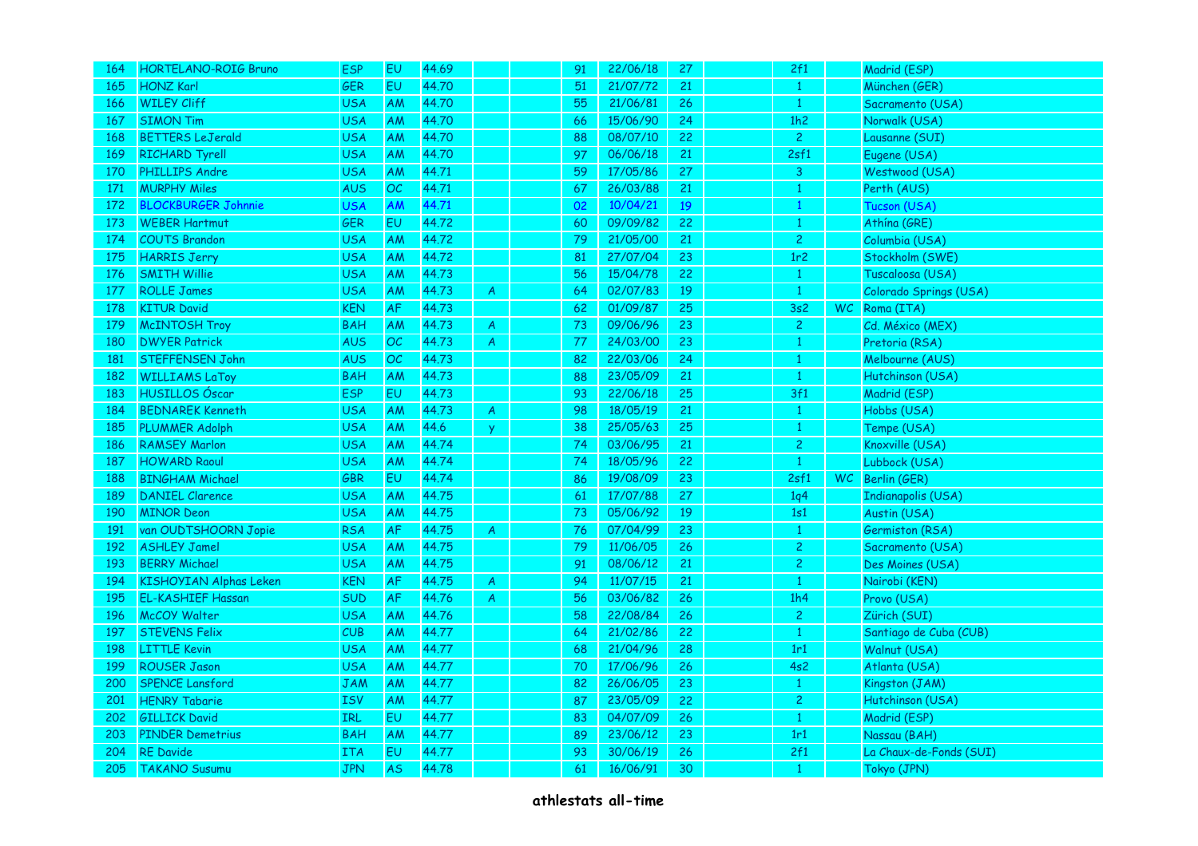| 164 | HORTELANO-ROIG Bruno          | <b>ESP</b> | EU        | 44.69 |                         | 91 | 22/06/18 | 27 <sub>2</sub> | 2f1             |           | Madrid (ESP)            |
|-----|-------------------------------|------------|-----------|-------|-------------------------|----|----------|-----------------|-----------------|-----------|-------------------------|
| 165 | <b>HONZ Karl</b>              | GER        | EU        | 44.70 |                         | 51 | 21/07/72 | 21              | $\mathbf{1}$    |           | München (GER)           |
| 166 | <b>WILEY Cliff</b>            | <b>USA</b> | AM        | 44.70 |                         | 55 | 21/06/81 | 26              | $\overline{1}$  |           | Sacramento (USA)        |
| 167 | <b>SIMON Tim</b>              | <b>USA</b> | AM        | 44.70 |                         | 66 | 15/06/90 | 24              | 1h2             |           | Norwalk (USA)           |
| 168 | <b>BETTERS LeJerald</b>       | <b>USA</b> | AM        | 44.70 |                         | 88 | 08/07/10 | 22              | $\overline{2}$  |           | Lausanne (SUI)          |
| 169 | <b>RICHARD Tyrell</b>         | <b>USA</b> | AM        | 44.70 |                         | 97 | 06/06/18 | 21              | 2sf1            |           | Eugene (USA)            |
| 170 | <b>PHILLIPS Andre</b>         | <b>USA</b> | AM        | 44.71 |                         | 59 | 17/05/86 | 27              | $\mathbf{3}$    |           | Westwood (USA)          |
| 171 | <b>MURPHY Miles</b>           | <b>AUS</b> | OC        | 44.71 |                         | 67 | 26/03/88 | 21              | $\mathbf{1}$    |           | Perth (AUS)             |
| 172 | <b>BLOCKBURGER Johnnie</b>    | <b>USA</b> | AM        | 44.71 |                         | 02 | 10/04/21 | 19              | $\mathbf{1}$    |           | Tucson (USA)            |
| 173 | <b>WEBER Hartmut</b>          | GER        | EU        | 44.72 |                         | 60 | 09/09/82 | 22              | $\mathbf{1}$    |           | Athína (GRE)            |
| 174 | <b>COUTS Brandon</b>          | <b>USA</b> | AM        | 44.72 |                         | 79 | 21/05/00 | 21              | $\overline{c}$  |           | Columbia (USA)          |
| 175 | <b>HARRIS Jerry</b>           | <b>USA</b> | AM        | 44.72 |                         | 81 | 27/07/04 | 23              | 1r <sub>2</sub> |           | Stockholm (SWE)         |
| 176 | <b>SMITH Willie</b>           | <b>USA</b> | <b>AM</b> | 44.73 |                         | 56 | 15/04/78 | 22              | $\mathbf{1}$    |           | Tuscaloosa (USA)        |
| 177 | <b>ROLLE James</b>            | <b>USA</b> | AM        | 44.73 | A                       | 64 | 02/07/83 | 19              | $\mathbf{1}$    |           | Colorado Springs (USA)  |
| 178 | <b>KITUR David</b>            | <b>KEN</b> | AF        | 44.73 |                         | 62 | 01/09/87 | 25              | 3s2             | <b>WC</b> | Roma (ITA)              |
| 179 | <b>McINTOSH Troy</b>          | <b>BAH</b> | AM        | 44.73 | $\overline{\mathsf{A}}$ | 73 | 09/06/96 | 23              | $\overline{2}$  |           | Cd. México (MEX)        |
| 180 | <b>DWYER Patrick</b>          | <b>AUS</b> | OC        | 44.73 | $\mathsf{A}$            | 77 | 24/03/00 | 23              | $\mathbf{1}$    |           | Pretoria (RSA)          |
| 181 | <b>STEFFENSEN John</b>        | <b>AUS</b> | OC        | 44.73 |                         | 82 | 22/03/06 | 24              | $\mathbf{1}$    |           | Melbourne (AUS)         |
| 182 | <b>WILLIAMS LaToy</b>         | <b>BAH</b> | AM        | 44.73 |                         | 88 | 23/05/09 | 21              | $\mathbf{1}$    |           | Hutchinson (USA)        |
| 183 | <b>HUSILLOS Óscar</b>         | <b>ESP</b> | EU        | 44.73 |                         | 93 | 22/06/18 | 25              | 3f1             |           | Madrid (ESP)            |
| 184 | <b>BEDNAREK Kenneth</b>       | <b>USA</b> | AM        | 44.73 | $\boldsymbol{A}$        | 98 | 18/05/19 | 21              | $\mathbf{1}$    |           | Hobbs (USA)             |
| 185 | <b>PLUMMER Adolph</b>         | <b>USA</b> | AM        | 44.6  | <b>y</b>                | 38 | 25/05/63 | 25              | $\,1\,$         |           | Tempe (USA)             |
| 186 | <b>RAMSEY Marlon</b>          | <b>USA</b> | AM        | 44.74 |                         | 74 | 03/06/95 | 21              | $\overline{c}$  |           | Knoxville (USA)         |
| 187 | <b>HOWARD Raoul</b>           | <b>USA</b> | AM        | 44.74 |                         | 74 | 18/05/96 | 22              | $\mathbf{1}$    |           | Lubbock (USA)           |
| 188 | <b>BINGHAM Michael</b>        | GBR        | EU        | 44.74 |                         | 86 | 19/08/09 | 23              | 2sf1            | WC.       | Berlin (GER)            |
| 189 | <b>DANIEL Clarence</b>        | <b>USA</b> | AM        | 44.75 |                         | 61 | 17/07/88 | 27              | 1q <sub>4</sub> |           | Indianapolis (USA)      |
| 190 | <b>MINOR Deon</b>             | <b>USA</b> | AM        | 44.75 |                         | 73 | 05/06/92 | 19              | 1s1             |           | Austin (USA)            |
| 191 | van OUDTSHOORN Jopie          | <b>RSA</b> | AF        | 44.75 | A                       | 76 | 07/04/99 | 23              | $\mathbf{1}$    |           | Germiston (RSA)         |
| 192 | <b>ASHLEY Jamel</b>           | <b>USA</b> | AM        | 44.75 |                         | 79 | 11/06/05 | 26              | $\overline{c}$  |           | Sacramento (USA)        |
| 193 | <b>BERRY Michael</b>          | <b>USA</b> | AM        | 44.75 |                         | 91 | 08/06/12 | 21              | $\overline{c}$  |           | Des Moines (USA)        |
| 194 | <b>KISHOYIAN Alphas Leken</b> | <b>KEN</b> | AF        | 44.75 | A                       | 94 | 11/07/15 | 21              | $\mathbf{1}$    |           | Nairobi (KEN)           |
| 195 | <b>EL-KASHIEF Hassan</b>      | SUD        | AF        | 44.76 | A                       | 56 | 03/06/82 | 26              | 1h4             |           | Provo (USA)             |
| 196 | McCOY Walter                  | <b>USA</b> | AM        | 44.76 |                         | 58 | 22/08/84 | 26              | $\overline{2}$  |           | Zürich (SUI)            |
| 197 | <b>STEVENS Felix</b>          | CUB        | AM        | 44.77 |                         | 64 | 21/02/86 | 22              | $\mathbf{1}$    |           | Santiago de Cuba (CUB)  |
| 198 | <b>LITTLE Kevin</b>           | <b>USA</b> | AM        | 44.77 |                         | 68 | 21/04/96 | 28              | 1r1             |           | Walnut (USA)            |
| 199 | <b>ROUSER Jason</b>           | <b>USA</b> | AM        | 44.77 |                         | 70 | 17/06/96 | 26              | 4s2             |           | Atlanta (USA)           |
| 200 | SPENCE Lansford               | JAM        | AM        | 44.77 |                         | 82 | 26/06/05 | 23              | $\mathbf{1}$    |           | Kingston (JAM)          |
| 201 | <b>HENRY Tabarie</b>          | <b>ISV</b> | AM        | 44.77 |                         | 87 | 23/05/09 | 22              | $\overline{c}$  |           | Hutchinson (USA)        |
| 202 | <b>GILLICK David</b>          | IRL        | EU        | 44.77 |                         | 83 | 04/07/09 | 26              | $\mathbf{1}$    |           | Madrid (ESP)            |
| 203 | <b>PINDER Demetrius</b>       | <b>BAH</b> | AM        | 44.77 |                         | 89 | 23/06/12 | 23              | 1r1             |           | Nassau (BAH)            |
| 204 | <b>RE Davide</b>              | <b>ITA</b> | EU        | 44.77 |                         | 93 | 30/06/19 | 26              | 2f1             |           | La Chaux-de-Fonds (SUI) |
| 205 | <b>TAKANO Susumu</b>          | <b>JPN</b> | <b>AS</b> | 44.78 |                         | 61 | 16/06/91 | 30              | $\mathbf{1}$    |           | Tokyo (JPN)             |
|     |                               |            |           |       |                         |    |          |                 |                 |           |                         |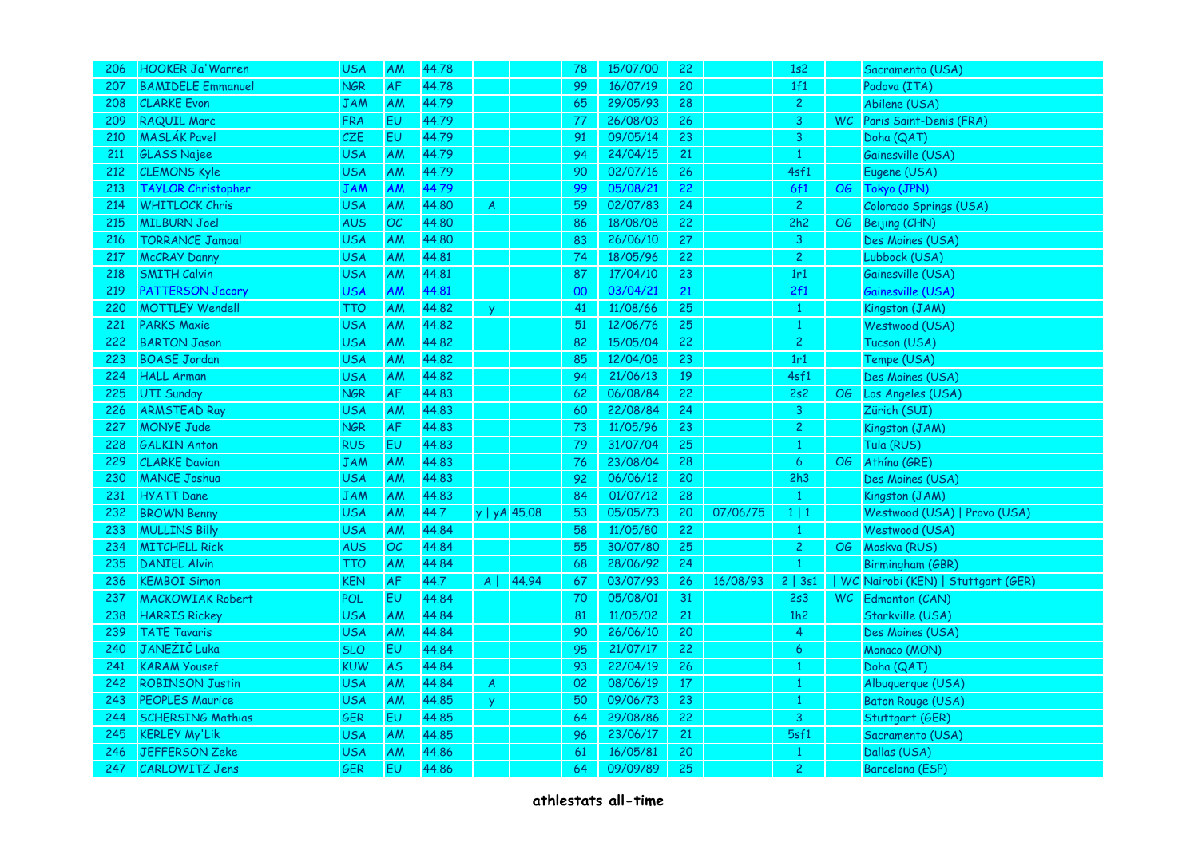| 206 | HOOKER Ja'Warren          | <b>USA</b> | AM        | 44.78 |                  |       | 78 | 15/07/00 | 22     |          | 1s2            |    | Sacramento (USA)                   |
|-----|---------------------------|------------|-----------|-------|------------------|-------|----|----------|--------|----------|----------------|----|------------------------------------|
| 207 | <b>BAMIDELE Emmanuel</b>  | <b>NGR</b> | AF        | 44.78 |                  |       | 99 | 16/07/19 | 20     |          | 1f1            |    | Padova (ITA)                       |
| 208 | <b>CLARKE Evon</b>        | <b>JAM</b> | <b>AM</b> | 44.79 |                  |       | 65 | 29/05/93 | 28     |          | $\overline{2}$ |    | Abilene (USA)                      |
| 209 | <b>RAQUIL Marc</b>        | <b>FRA</b> | EU        | 44.79 |                  |       | 77 | 26/08/03 | 26     |          | 3              |    | WC Paris Saint-Denis (FRA)         |
| 210 | <b>MASLÁK Pavel</b>       | CZE        | <b>EU</b> | 44.79 |                  |       | 91 | 09/05/14 | 23     |          | 3              |    | Doha (QAT)                         |
| 211 | <b>GLASS Najee</b>        | <b>USA</b> | AM        | 44.79 |                  |       | 94 | 24/04/15 | 21     |          | $\mathbf{1}$   |    | Gainesville (USA)                  |
| 212 | <b>CLEMONS Kyle</b>       | <b>USA</b> | AM        | 44.79 |                  |       | 90 | 02/07/16 | 26     |          | 4sf1           |    | Eugene (USA)                       |
| 213 | <b>TAYLOR Christopher</b> | <b>JAM</b> | AM        | 44.79 |                  |       | 99 | 05/08/21 | 22     |          | 6f1            | OG | Tokyo (JPN)                        |
| 214 | <b>WHITLOCK Chris</b>     | <b>USA</b> | AM        | 44.80 | A                |       | 59 | 02/07/83 | 24     |          | $\overline{2}$ |    | Colorado Springs (USA)             |
| 215 | <b>MILBURN Joel</b>       | <b>AUS</b> | OC        | 44.80 |                  |       | 86 | 18/08/08 | 22     |          | 2h2            |    | OG Beijing (CHN)                   |
| 216 | <b>TORRANCE Jamaal</b>    | <b>USA</b> | AM        | 44.80 |                  |       | 83 | 26/06/10 | 27     |          | 3              |    | Des Moines (USA)                   |
| 217 | <b>McCRAY Danny</b>       | <b>USA</b> | AM        | 44.81 |                  |       | 74 | 18/05/96 | 22     |          | $\overline{c}$ |    | Lubbock (USA)                      |
| 218 | <b>SMITH Calvin</b>       | <b>USA</b> | AM        | 44.81 |                  |       | 87 | 17/04/10 | 23     |          | 1r1            |    | Gainesville (USA)                  |
| 219 | <b>PATTERSON Jacory</b>   | <b>USA</b> | AM        | 44.81 |                  |       | 00 | 03/04/21 | 21     |          | 2f1            |    | Gainesville (USA)                  |
| 220 | <b>MOTTLEY Wendell</b>    | <b>TTO</b> | AM        | 44.82 | <b>y</b>         |       | 41 | 11/08/66 | 25     |          | $\mathbf{1}$   |    | Kingston (JAM)                     |
| 221 | <b>PARKS Maxie</b>        | <b>USA</b> | AM        | 44.82 |                  |       | 51 | 12/06/76 | 25     |          | $\mathbf{1}$   |    | Westwood (USA)                     |
| 222 | <b>BARTON Jason</b>       | <b>USA</b> | AM        | 44.82 |                  |       | 82 | 15/05/04 | 22     |          | $\overline{c}$ |    | Tucson (USA)                       |
| 223 | <b>BOASE Jordan</b>       | <b>USA</b> | <b>AM</b> | 44.82 |                  |       | 85 | 12/04/08 | 23     |          | 1r1            |    | Tempe (USA)                        |
| 224 | <b>HALL Arman</b>         | <b>USA</b> | AM        | 44.82 |                  |       | 94 | 21/06/13 | 19     |          | 4sf1           |    | Des Moines (USA)                   |
| 225 | <b>UTI Sunday</b>         | <b>NGR</b> | AF        | 44.83 |                  |       | 62 | 06/08/84 | 22     |          | 2s2            |    | OG Los Angeles (USA)               |
| 226 | <b>ARMSTEAD Ray</b>       | <b>USA</b> | AM        | 44.83 |                  |       | 60 | 22/08/84 | 24     |          | 3              |    | Zürich (SUI)                       |
| 227 | <b>MONYE Jude</b>         | <b>NGR</b> | AF        | 44.83 |                  |       | 73 | 11/05/96 | 23     |          | $\overline{c}$ |    | Kingston (JAM)                     |
| 228 | <b>GALKIN Anton</b>       | <b>RUS</b> | EU        | 44.83 |                  |       | 79 | 31/07/04 | 25     |          | $\mathbf{1}$   |    | Tula (RUS)                         |
| 229 | <b>CLARKE Davian</b>      | <b>JAM</b> | AM        | 44.83 |                  |       | 76 | 23/08/04 | 28     |          | 6              | OG | Athína (GRE)                       |
| 230 | <b>MANCE Joshua</b>       | <b>USA</b> | AM        | 44.83 |                  |       | 92 | 06/06/12 | 20     |          | 2h3            |    | Des Moines (USA)                   |
| 231 | <b>HYATT</b> Dane         | <b>JAM</b> | AM        | 44.83 |                  |       | 84 | 01/07/12 | 28     |          | $\mathbf{1}$   |    | Kingston (JAM)                     |
| 232 | <b>BROWN Benny</b>        | <b>USA</b> | AM        | 44.7  | y   yA 45.08     |       | 53 | 05/05/73 | 20     | 07/06/75 | $1 \mid 1$     |    | Westwood (USA)   Provo (USA)       |
| 233 | <b>MULLINS Billy</b>      | <b>USA</b> | AM        | 44.84 |                  |       | 58 | 11/05/80 | 22     |          | $\mathbf{1}$   |    | Westwood (USA)                     |
| 234 | <b>MITCHELL Rick</b>      | <b>AUS</b> | OC        | 44.84 |                  |       | 55 | 30/07/80 | 25     |          | $\overline{c}$ |    | OG Moskva (RUS)                    |
| 235 | <b>DANIEL Alvin</b>       | <b>TTO</b> | AM        | 44.84 |                  |       | 68 | 28/06/92 | 24     |          | $\overline{1}$ |    | Birmingham (GBR)                   |
| 236 | <b>KEMBOI Simon</b>       | <b>KEN</b> | AF        | 44.7  | $A \mid$         | 44.94 | 67 | 03/07/93 | 26     | 16/08/93 | 2   3s1        |    | WC Nairobi (KEN)   Stuttgart (GER) |
| 237 | <b>MACKOWIAK Robert</b>   | POL        | EU        | 44.84 |                  |       | 70 | 05/08/01 | 31     |          | 2s3            |    | WC Edmonton (CAN)                  |
| 238 | <b>HARRIS Rickey</b>      | <b>USA</b> | AM        | 44.84 |                  |       | 81 | 11/05/02 | 21     |          | 1h2            |    | Starkville (USA)                   |
| 239 | <b>TATE Tavaris</b>       | <b>USA</b> | AM        | 44.84 |                  |       | 90 | 26/06/10 | 20     |          | $\overline{4}$ |    | Des Moines (USA)                   |
| 240 | JANEŽIČ Luka              | <b>SLO</b> | EU        | 44.84 |                  |       | 95 | 21/07/17 | 22     |          | 6              |    | Monaco (MON)                       |
| 241 | <b>KARAM Yousef</b>       | <b>KUW</b> | <b>AS</b> | 44.84 |                  |       | 93 | 22/04/19 | 26     |          | $\mathbf{1}$   |    | Doha (QAT)                         |
| 242 | <b>ROBINSON Justin</b>    | <b>USA</b> | AM        | 44.84 | $\boldsymbol{A}$ |       | 02 | 08/06/19 | $17\,$ |          | $\mathbf{1}$   |    | Albuquerque (USA)                  |
| 243 | <b>PEOPLES Maurice</b>    | <b>USA</b> | AM        | 44.85 | $\mathbf{v}$     |       | 50 | 09/06/73 | 23     |          | $\mathbf{1}$   |    | <b>Baton Rouge (USA)</b>           |
| 244 | <b>SCHERSING Mathias</b>  | GER        | <b>EU</b> | 44.85 |                  |       | 64 | 29/08/86 | 22     |          | $\overline{3}$ |    | Stuttgart (GER)                    |
| 245 | <b>KERLEY My'Lik</b>      | <b>USA</b> | AM        | 44.85 |                  |       | 96 | 23/06/17 | 21     |          | 5sf1           |    | Sacramento (USA)                   |
| 246 | <b>JEFFERSON Zeke</b>     | <b>USA</b> | AM        | 44.86 |                  |       | 61 | 16/05/81 | 20     |          | $\mathbf{1}$   |    | Dallas (USA)                       |
| 247 | <b>CARLOWITZ Jens</b>     | GER        | EU        | 44.86 |                  |       | 64 | 09/09/89 | 25     |          | $\overline{c}$ |    | Barcelona (ESP)                    |
|     |                           |            |           |       |                  |       |    |          |        |          |                |    |                                    |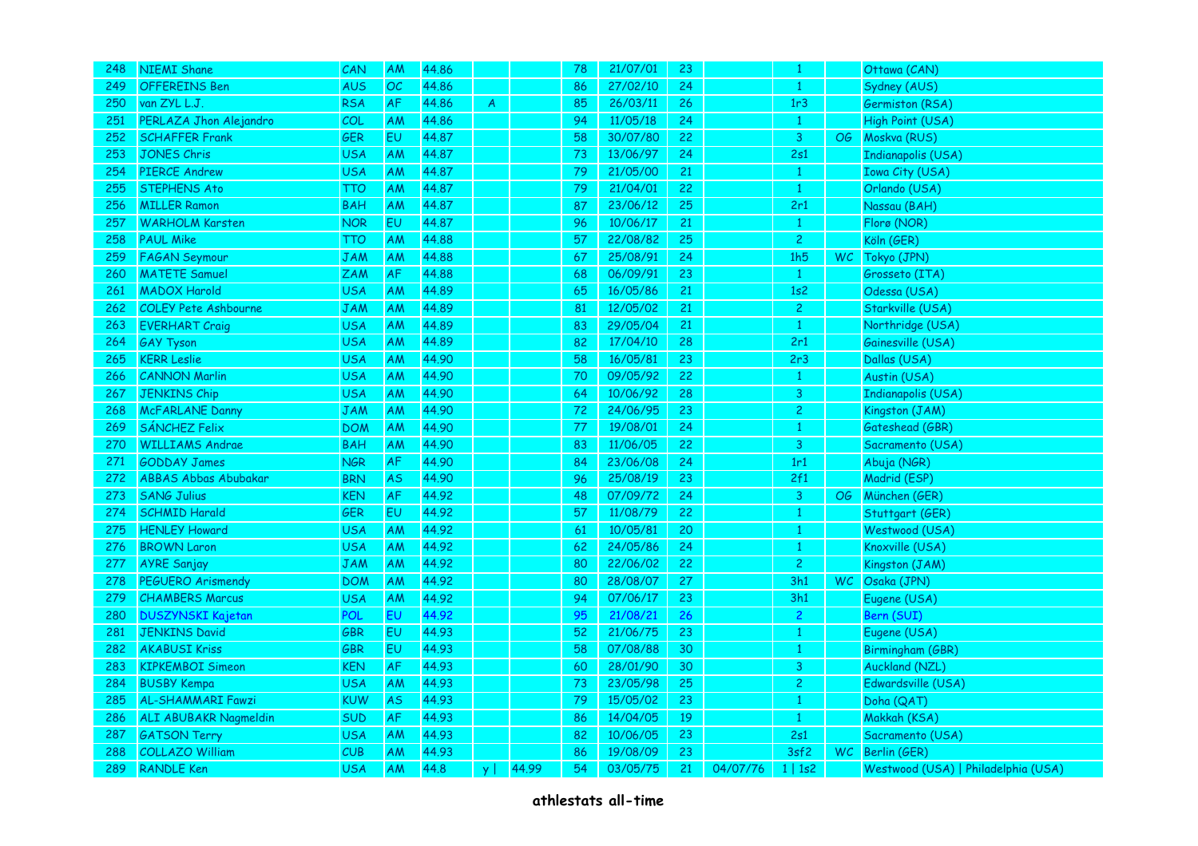| 248 | <b>NIEMI Shane</b>           | CAN        | AM        | 44.86 |                |       | 78 | 21/07/01 | 23 |          | $\mathbf{1}$   | Ottawa (CAN)                        |
|-----|------------------------------|------------|-----------|-------|----------------|-------|----|----------|----|----------|----------------|-------------------------------------|
| 249 | <b>OFFEREINS Ben</b>         | <b>AUS</b> | OC        | 44.86 |                |       | 86 | 27/02/10 | 24 |          | $\mathbf{1}$   | Sydney (AUS)                        |
| 250 | van ZYL L.J.                 | <b>RSA</b> | AF        | 44.86 | $\overline{A}$ |       | 85 | 26/03/11 | 26 |          | 1r3            | Germiston (RSA)                     |
| 251 | PERLAZA Jhon Alejandro       | COL        | AM        | 44.86 |                |       | 94 | 11/05/18 | 24 |          | $\mathbf{1}$   | High Point (USA)                    |
| 252 | <b>SCHAFFER Frank</b>        | GER        | <b>EU</b> | 44.87 |                |       | 58 | 30/07/80 | 22 |          | 3              | OG Moskva (RUS)                     |
| 253 | <b>JONES Chris</b>           | <b>USA</b> | AM        | 44.87 |                |       | 73 | 13/06/97 | 24 |          | 2s1            | <b>Indianapolis (USA)</b>           |
| 254 | <b>PIERCE Andrew</b>         | <b>USA</b> | AM        | 44.87 |                |       | 79 | 21/05/00 | 21 |          | $\mathbf{1}$   | <b>Iowa City (USA)</b>              |
| 255 | <b>STEPHENS Ato</b>          | <b>TTO</b> | AM        | 44.87 |                |       | 79 | 21/04/01 | 22 |          | $\,1\,$        | Orlando (USA)                       |
| 256 | <b>MILLER Ramon</b>          | <b>BAH</b> | <b>AM</b> | 44.87 |                |       | 87 | 23/06/12 | 25 |          | 2r1            | Nassau (BAH)                        |
| 257 | <b>WARHOLM Karsten</b>       | <b>NOR</b> | EU        | 44.87 |                |       | 96 | 10/06/17 | 21 |          | $\mathbf{1}$   | Florø (NOR)                         |
| 258 | <b>PAUL Mike</b>             | TTO        | AM        | 44.88 |                |       | 57 | 22/08/82 | 25 |          | $\overline{c}$ | Köln (GER)                          |
| 259 | <b>FAGAN Seymour</b>         | <b>JAM</b> | AM        | 44.88 |                |       | 67 | 25/08/91 | 24 |          | 1h5            | WC Tokyo (JPN)                      |
| 260 | <b>MATETE Samuel</b>         | ZAM        | AF        | 44.88 |                |       | 68 | 06/09/91 | 23 |          | $\mathbf{1}$   | Grosseto (ITA)                      |
| 261 | <b>MADOX Harold</b>          | <b>USA</b> | AM        | 44.89 |                |       | 65 | 16/05/86 | 21 |          | 1s2            | Odessa (USA)                        |
| 262 | <b>COLEY Pete Ashbourne</b>  | <b>JAM</b> | AM        | 44.89 |                |       | 81 | 12/05/02 | 21 |          | $\mathbf{2}$   | Starkville (USA)                    |
| 263 | <b>EVERHART Craig</b>        | <b>USA</b> | AM        | 44.89 |                |       | 83 | 29/05/04 | 21 |          | $\mathbf{1}$   | Northridge (USA)                    |
| 264 | <b>GAY Tyson</b>             | <b>USA</b> | AM        | 44.89 |                |       | 82 | 17/04/10 | 28 |          | 2r1            | Gainesville (USA)                   |
| 265 | <b>KERR Leslie</b>           | <b>USA</b> | AM        | 44.90 |                |       | 58 | 16/05/81 | 23 |          | 2r3            | Dallas (USA)                        |
| 266 | <b>CANNON Marlin</b>         | <b>USA</b> | AM        | 44.90 |                |       | 70 | 09/05/92 | 22 |          | $\mathbf{1}$   | Austin (USA)                        |
| 267 | <b>JENKINS Chip</b>          | <b>USA</b> | AM        | 44.90 |                |       | 64 | 10/06/92 | 28 |          | 3              | <b>Indianapolis (USA)</b>           |
| 268 | <b>McFARLANE Danny</b>       | <b>JAM</b> | AM        | 44.90 |                |       | 72 | 24/06/95 | 23 |          | $\overline{c}$ | Kingston (JAM)                      |
| 269 | SÁNCHEZ Felix                | <b>DOM</b> | AM        | 44.90 |                |       | 77 | 19/08/01 | 24 |          | $\mathbf{1}$   | Gateshead (GBR)                     |
| 270 | <b>WILLIAMS Andrae</b>       | <b>BAH</b> | AM        | 44.90 |                |       | 83 | 11/06/05 | 22 |          | 3              | Sacramento (USA)                    |
| 271 | <b>GODDAY James</b>          | <b>NGR</b> | AF        | 44.90 |                |       | 84 | 23/06/08 | 24 |          | 1r1            | Abuja (NGR)                         |
| 272 | <b>ABBAS Abbas Abubakar</b>  | <b>BRN</b> | <b>AS</b> | 44.90 |                |       | 96 | 25/08/19 | 23 |          | 2f1            | Madrid (ESP)                        |
| 273 | <b>SANG Julius</b>           | <b>KEN</b> | AF        | 44.92 |                |       | 48 | 07/09/72 | 24 |          | $\overline{3}$ | OG München (GER)                    |
| 274 | <b>SCHMID Harald</b>         | GER        | EU        | 44.92 |                |       | 57 | 11/08/79 | 22 |          | $\mathbf{1}$   | Stuttgart (GER)                     |
| 275 | <b>HENLEY Howard</b>         | <b>USA</b> | AM        | 44.92 |                |       | 61 | 10/05/81 | 20 |          | $\mathbf{1}$   | Westwood (USA)                      |
| 276 | <b>BROWN Laron</b>           | <b>USA</b> | AM        | 44.92 |                |       | 62 | 24/05/86 | 24 |          | $\mathbf{1}$   | Knoxville (USA)                     |
| 277 | <b>AYRE Sanjay</b>           | <b>JAM</b> | AM        | 44.92 |                |       | 80 | 22/06/02 | 22 |          | $\overline{c}$ | Kingston (JAM)                      |
| 278 | <b>PEGUERO Arismendy</b>     | <b>DOM</b> | AM        | 44.92 |                |       | 80 | 28/08/07 | 27 |          | 3h1            | WC Osaka (JPN)                      |
| 279 | <b>CHAMBERS Marcus</b>       | <b>USA</b> | AM        | 44.92 |                |       | 94 | 07/06/17 | 23 |          | 3h1            | Eugene (USA)                        |
| 280 | <b>DUSZYNSKI Kajetan</b>     | <b>POL</b> | EU        | 44.92 |                |       | 95 | 21/08/21 | 26 |          | $\overline{2}$ | Bern (SUI)                          |
| 281 | <b>JENKINS David</b>         | GBR        | <b>EU</b> | 44.93 |                |       | 52 | 21/06/75 | 23 |          | $\mathbf{1}$   | Eugene (USA)                        |
| 282 | <b>AKABUSI Kriss</b>         | GBR        | <b>EU</b> | 44.93 |                |       | 58 | 07/08/88 | 30 |          | $\mathbf{1}$   | Birmingham (GBR)                    |
| 283 | <b>KIPKEMBOI Simeon</b>      | <b>KEN</b> | AF        | 44.93 |                |       | 60 | 28/01/90 | 30 |          | $\mathsf 3$    | Auckland (NZL)                      |
| 284 | <b>BUSBY Kempa</b>           | <b>USA</b> | AM        | 44.93 |                |       | 73 | 23/05/98 | 25 |          | $\overline{c}$ | Edwardsville (USA)                  |
| 285 | <b>AL-SHAMMARI Fawzi</b>     | <b>KUW</b> | <b>AS</b> | 44.93 |                |       | 79 | 15/05/02 | 23 |          | $\mathbf{1}$   | Doha (QAT)                          |
| 286 | <b>ALI ABUBAKR Nagmeldin</b> | <b>SUD</b> | AF        | 44.93 |                |       | 86 | 14/04/05 | 19 |          | $\mathbf{1}$   | Makkah (KSA)                        |
| 287 | <b>GATSON Terry</b>          | <b>USA</b> | AM        | 44.93 |                |       | 82 | 10/06/05 | 23 |          | 2s1            | Sacramento (USA)                    |
| 288 | <b>COLLAZO William</b>       | CUB        | AM        | 44.93 |                |       | 86 | 19/08/09 | 23 |          | 3sf2           | WC Berlin (GER)                     |
| 289 | <b>RANDLE Ken</b>            | <b>USA</b> | <b>AM</b> | 44.8  | y              | 44.99 | 54 | 03/05/75 | 21 | 04/07/76 | 1 1s2          | Westwood (USA)   Philadelphia (USA) |
|     |                              |            |           |       |                |       |    |          |    |          |                |                                     |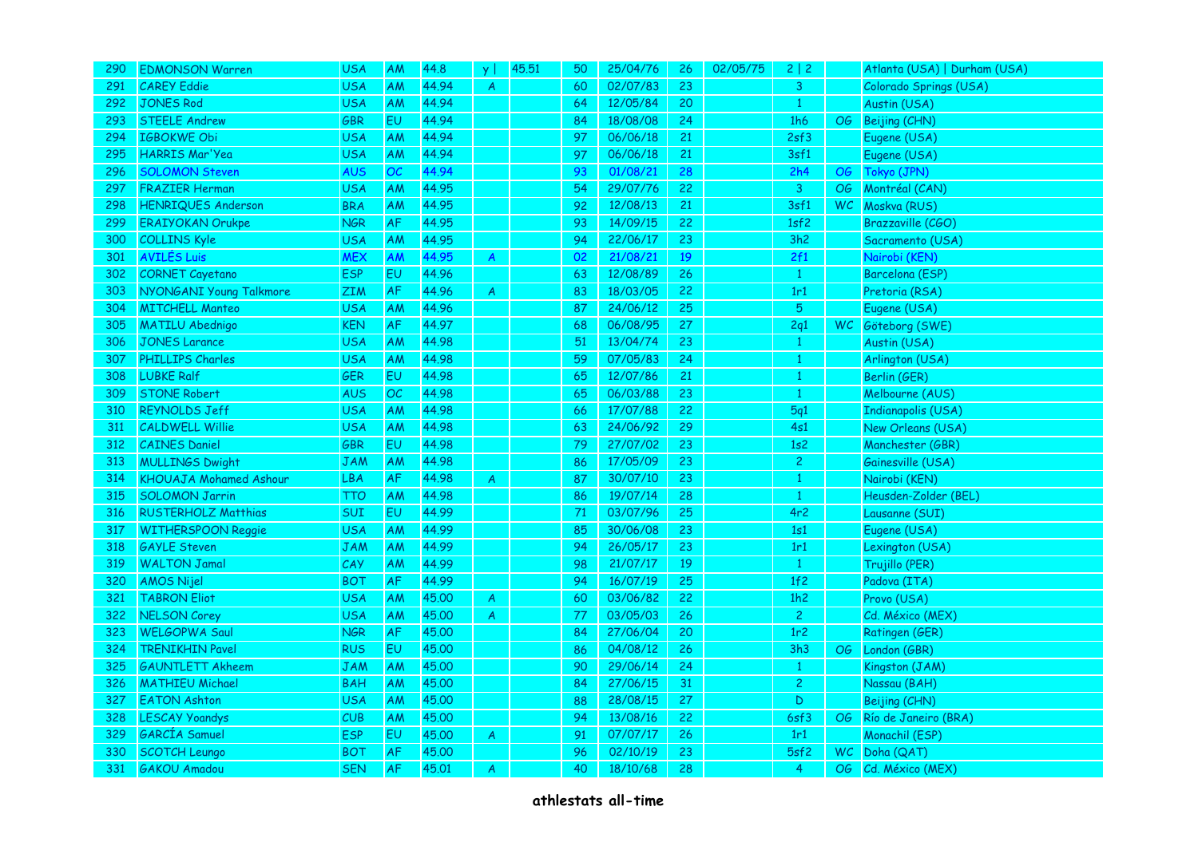| 290 | <b>EDMONSON Warren</b>        | <b>USA</b> | AM        | 44.8  | y                | 45.51 | 50 | 25/04/76 | 26 | 02/05/75 | 2 2             |    | Atlanta (USA)   Durham (USA) |
|-----|-------------------------------|------------|-----------|-------|------------------|-------|----|----------|----|----------|-----------------|----|------------------------------|
| 291 | <b>CAREY Eddie</b>            | <b>USA</b> | AM        | 44.94 | $\overline{A}$   |       | 60 | 02/07/83 | 23 |          | 3               |    | Colorado Springs (USA)       |
| 292 | <b>JONES Rod</b>              | <b>USA</b> | AM        | 44.94 |                  |       | 64 | 12/05/84 | 20 |          | $\mathbf{1}$    |    | Austin (USA)                 |
| 293 | <b>STEELE Andrew</b>          | <b>GBR</b> | <b>EU</b> | 44.94 |                  |       | 84 | 18/08/08 | 24 |          | 1h6             |    | OG Beijing (CHN)             |
| 294 | <b>IGBOKWE Obi</b>            | <b>USA</b> | AM        | 44.94 |                  |       | 97 | 06/06/18 | 21 |          | 2sf3            |    | Eugene (USA)                 |
| 295 | <b>HARRIS Mar'Yea</b>         | <b>USA</b> | AM        | 44.94 |                  |       | 97 | 06/06/18 | 21 |          | 3sf1            |    | Eugene (USA)                 |
| 296 | <b>SOLOMON Steven</b>         | <b>AUS</b> | OC.       | 44.94 |                  |       | 93 | 01/08/21 | 28 |          | 2h4             |    | OG Tokyo (JPN)               |
| 297 | <b>FRAZIER Herman</b>         | <b>USA</b> | AM        | 44.95 |                  |       | 54 | 29/07/76 | 22 |          | 3               |    | OG Montréal (CAN)            |
| 298 | <b>HENRIQUES Anderson</b>     | <b>BRA</b> | AM        | 44.95 |                  |       | 92 | 12/08/13 | 21 |          | 3sf1            |    | WC Moskva (RUS)              |
| 299 | <b>ERAIYOKAN Orukpe</b>       | <b>NGR</b> | AF        | 44.95 |                  |       | 93 | 14/09/15 | 22 |          | 1sf2            |    | Brazzaville (CGO)            |
| 300 | <b>COLLINS Kyle</b>           | <b>USA</b> | AM        | 44.95 |                  |       | 94 | 22/06/17 | 23 |          | 3h2             |    | Sacramento (USA)             |
| 301 | <b>AVILÉS Luis</b>            | <b>MEX</b> | AM        | 44.95 | $\boldsymbol{A}$ |       | 02 | 21/08/21 | 19 |          | 2f1             |    | Nairobi (KEN)                |
| 302 | <b>CORNET Cayetano</b>        | <b>ESP</b> | EU        | 44.96 |                  |       | 63 | 12/08/89 | 26 |          | $\mathbf{1}$    |    | Barcelona (ESP)              |
| 303 | NYONGANI Young Talkmore       | ZIM        | AF        | 44.96 | $\overline{A}$   |       | 83 | 18/03/05 | 22 |          | 1r1             |    | Pretoria (RSA)               |
| 304 | <b>MITCHELL Manteo</b>        | <b>USA</b> | AM        | 44.96 |                  |       | 87 | 24/06/12 | 25 |          | $5\phantom{.0}$ |    | Eugene (USA)                 |
| 305 | <b>MATILU Abednigo</b>        | <b>KEN</b> | <b>AF</b> | 44.97 |                  |       | 68 | 06/08/95 | 27 |          | 2q1             |    | WC Göteborg (SWE)            |
| 306 | <b>JONES Larance</b>          | <b>USA</b> | AM        | 44.98 |                  |       | 51 | 13/04/74 | 23 |          | $\mathbf{1}$    |    | Austin (USA)                 |
| 307 | PHILLIPS Charles              | <b>USA</b> | AM        | 44.98 |                  |       | 59 | 07/05/83 | 24 |          | $\mathbf{1}$    |    | Arlington (USA)              |
| 308 | <b>LUBKE Ralf</b>             | GER        | <b>EU</b> | 44.98 |                  |       | 65 | 12/07/86 | 21 |          | $\mathbf{1}$    |    | Berlin (GER)                 |
| 309 | <b>STONE Robert</b>           | <b>AUS</b> | OC        | 44.98 |                  |       | 65 | 06/03/88 | 23 |          | $\mathbf{1}$    |    | Melbourne (AUS)              |
| 310 | <b>REYNOLDS Jeff</b>          | <b>USA</b> | AM        | 44.98 |                  |       | 66 | 17/07/88 | 22 |          | 5q1             |    | <b>Indianapolis (USA)</b>    |
| 311 | <b>CALDWELL Willie</b>        | <b>USA</b> | AM        | 44.98 |                  |       | 63 | 24/06/92 | 29 |          | 4s1             |    | New Orleans (USA)            |
| 312 | <b>CAINES Daniel</b>          | GBR        | EU        | 44.98 |                  |       | 79 | 27/07/02 | 23 |          | 1s2             |    | Manchester (GBR)             |
| 313 | <b>MULLINGS Dwight</b>        | <b>JAM</b> | AM        | 44.98 |                  |       | 86 | 17/05/09 | 23 |          | $\overline{2}$  |    | Gainesville (USA)            |
| 314 | <b>KHOUAJA Mohamed Ashour</b> | <b>LBA</b> | <b>AF</b> | 44.98 | A                |       | 87 | 30/07/10 | 23 |          | $\mathbf{1}$    |    | Nairobi (KEN)                |
| 315 | <b>SOLOMON Jarrin</b>         | <b>TTO</b> | AM        | 44.98 |                  |       | 86 | 19/07/14 | 28 |          | $\mathbf{1}$    |    | Heusden-Zolder (BEL)         |
| 316 | <b>RUSTERHOLZ Matthias</b>    | <b>SUI</b> | EU        | 44.99 |                  |       | 71 | 03/07/96 | 25 |          | 4r2             |    | Lausanne (SUI)               |
| 317 | <b>WITHERSPOON Reggie</b>     | <b>USA</b> | AM        | 44.99 |                  |       | 85 | 30/06/08 | 23 |          | 1s1             |    | Eugene (USA)                 |
| 318 | <b>GAYLE Steven</b>           | <b>JAM</b> | AM        | 44.99 |                  |       | 94 | 26/05/17 | 23 |          | 1r1             |    | Lexington (USA)              |
| 319 | <b>WALTON Jamal</b>           | CAY        | AM        | 44.99 |                  |       | 98 | 21/07/17 | 19 |          | $\mathbf{1}$    |    | Trujillo (PER)               |
| 320 | <b>AMOS Nijel</b>             | <b>BOT</b> | AF        | 44.99 |                  |       | 94 | 16/07/19 | 25 |          | 1f2             |    | Padova (ITA)                 |
| 321 | <b>TABRON Eliot</b>           | <b>USA</b> | AM        | 45.00 | A                |       | 60 | 03/06/82 | 22 |          | 1h2             |    | Provo (USA)                  |
| 322 | <b>NELSON Corey</b>           | <b>USA</b> | AM        | 45.00 | A                |       | 77 | 03/05/03 | 26 |          | $\overline{2}$  |    | Cd. México (MEX)             |
| 323 | <b>WELGOPWA Saul</b>          | <b>NGR</b> | <b>AF</b> | 45.00 |                  |       | 84 | 27/06/04 | 20 |          | 1r <sub>2</sub> |    | Ratingen (GER)               |
| 324 | <b>TRENIKHIN Pavel</b>        | <b>RUS</b> | EU        | 45,00 |                  |       | 86 | 04/08/12 | 26 |          | 3h3             |    | OG London (GBR)              |
| 325 | <b>GAUNTLETT Akheem</b>       | <b>JAM</b> | AM        | 45.00 |                  |       | 90 | 29/06/14 | 24 |          | $\mathbf{1}$    |    | Kingston (JAM)               |
| 326 | <b>MATHIEU Michael</b>        | <b>BAH</b> | AM        | 45.00 |                  |       | 84 | 27/06/15 | 31 |          | $\overline{2}$  |    | Nassau (BAH)                 |
| 327 | <b>EATON Ashton</b>           | <b>USA</b> | AM        | 45.00 |                  |       | 88 | 28/08/15 | 27 |          | $\mathsf D$     |    | Beijing (CHN)                |
| 328 | <b>LESCAY Yoandys</b>         | CUB        | AM        | 45.00 |                  |       | 94 | 13/08/16 | 22 |          | 6sf3            |    | OG Río de Janeiro (BRA)      |
| 329 | <b>GARCÍA</b> Samuel          | <b>ESP</b> | EU        | 45,00 | $\overline{A}$   |       | 91 | 07/07/17 | 26 |          | 1r1             |    | Monachil (ESP)               |
| 330 | <b>SCOTCH Leungo</b>          | <b>BOT</b> | AF        | 45.00 |                  |       | 96 | 02/10/19 | 23 |          | 5sf2            | WC | Doha (QAT)                   |
| 331 | <b>GAKOU Amadou</b>           | <b>SEN</b> | <b>AF</b> | 45,01 | A                |       | 40 | 18/10/68 | 28 |          | 4               |    | OG Cd. México (MEX)          |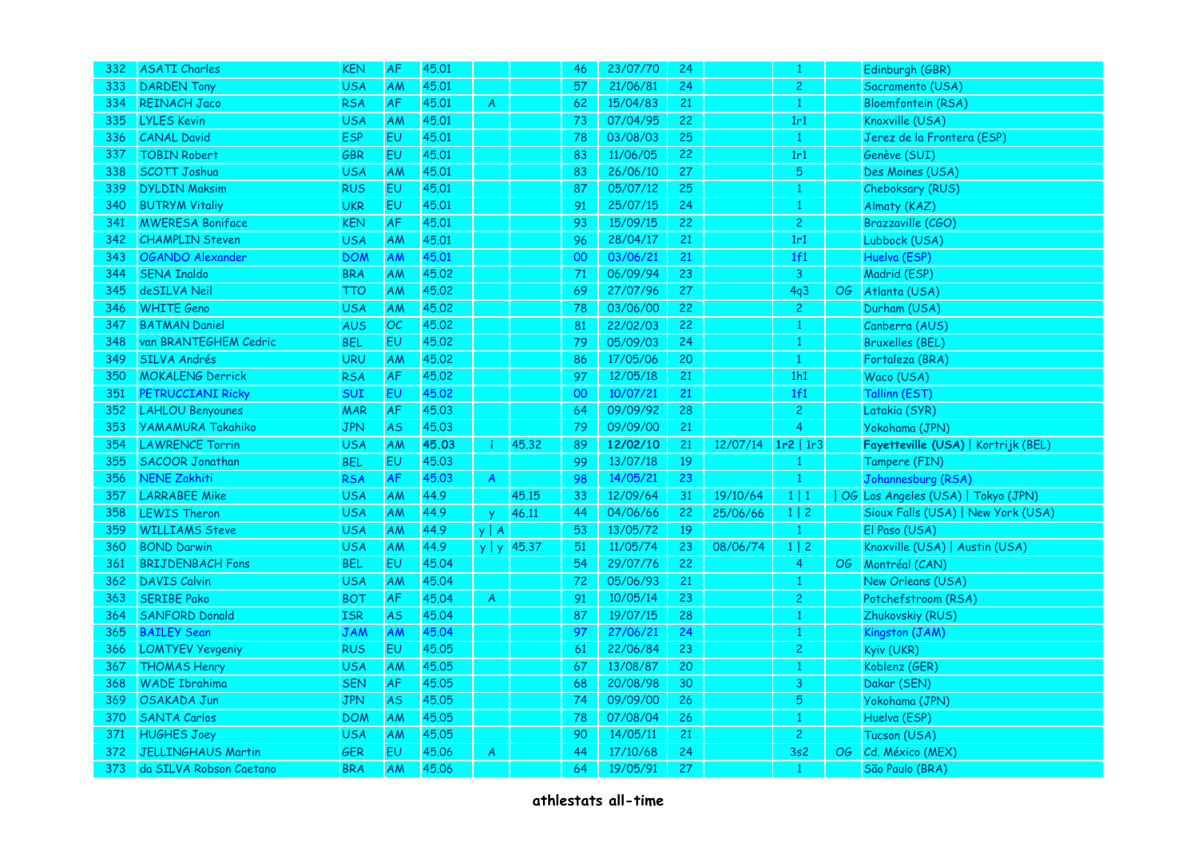| 332 | <b>ASATI Charles</b>      | <b>KEN</b> | AF        | 45.01 |                  |                 | 46 | 23/07/70 | 24 |          | $\mathbf{1}$   |    | Edinburgh (GBR)                     |
|-----|---------------------------|------------|-----------|-------|------------------|-----------------|----|----------|----|----------|----------------|----|-------------------------------------|
| 333 | <b>DARDEN Tony</b>        | <b>USA</b> | <b>AM</b> | 45,01 |                  |                 | 57 | 21/06/81 | 24 |          | $\mathbf{2}$   |    | Sacramento (USA)                    |
| 334 | <b>REINACH Jaco</b>       | <b>RSA</b> | AF        | 45.01 | A                |                 | 62 | 15/04/83 | 21 |          | $\mathbf{1}$   |    | <b>Bloemfontein (RSA)</b>           |
| 335 | <b>LYLES Kevin</b>        | <b>USA</b> | <b>AM</b> | 45.01 |                  |                 | 73 | 07/04/95 | 22 |          | 1r1            |    | Knoxville (USA)                     |
| 336 | <b>CANAL David</b>        | <b>ESP</b> | <b>EU</b> | 45.01 |                  |                 | 78 | 03/08/03 | 25 |          | $\mathbf{1}$   |    | Jerez de la Frontera (ESP)          |
| 337 | <b>TOBIN Robert</b>       | GBR        | EU        | 45.01 |                  |                 | 83 | 11/06/05 | 22 |          | 1r1            |    | Genève (SUI)                        |
| 338 | <b>SCOTT Joshua</b>       | <b>USA</b> | AM        | 45.01 |                  |                 | 83 | 26/06/10 | 27 |          | $\overline{5}$ |    | Des Moines (USA)                    |
| 339 | <b>DYLDIN Maksim</b>      | <b>RUS</b> | EU        | 45.01 |                  |                 | 87 | 05/07/12 | 25 |          | $\mathbf{1}$   |    | Cheboksary (RUS)                    |
| 340 | <b>BUTRYM Vitaliy</b>     | <b>UKR</b> | EU        | 45.01 |                  |                 | 91 | 25/07/15 | 24 |          | $\mathbf{1}$   |    | Almaty (KAZ)                        |
| 341 | <b>MWERESA Boniface</b>   | <b>KEN</b> | AF        | 45.01 |                  |                 | 93 | 15/09/15 | 22 |          | $\overline{c}$ |    | Brazzaville (CGO)                   |
| 342 | <b>CHAMPLIN Steven</b>    | <b>USA</b> | <b>AM</b> | 45.01 |                  |                 | 96 | 28/04/17 | 21 |          | 1r1            |    | Lubbock (USA)                       |
| 343 | <b>OGANDO Alexander</b>   | <b>DOM</b> | AM        | 45.01 |                  |                 | 00 | 03/06/21 | 21 |          | 1f1            |    | Huelva (ESP)                        |
| 344 | <b>SENA Inaldo</b>        | <b>BRA</b> | AM        | 45.02 |                  |                 | 71 | 06/09/94 | 23 |          | 3              |    | Madrid (ESP)                        |
| 345 | deSILVA Neil              | <b>TTO</b> | AM        | 45.02 |                  |                 | 69 | 27/07/96 | 27 |          | 4q3            | OG | Atlanta (USA)                       |
| 346 | <b>WHITE Geno</b>         | <b>USA</b> | AM        | 45.02 |                  |                 | 78 | 03/06/00 | 22 |          | $\overline{c}$ |    | Durham (USA)                        |
| 347 | <b>BATMAN Daniel</b>      | <b>AUS</b> | OC.       | 45.02 |                  |                 | 81 | 22/02/03 | 22 |          | $\mathbf{1}$   |    | Canberra (AUS)                      |
| 348 | van BRANTEGHEM Cedric     | <b>BEL</b> | EU        | 45.02 |                  |                 | 79 | 05/09/03 | 24 |          | $\mathbf{1}$   |    | <b>Bruxelles (BEL)</b>              |
| 349 | <b>SILVA Andrés</b>       | <b>URU</b> | <b>AM</b> | 45.02 |                  |                 | 86 | 17/05/06 | 20 |          | $\mathbf{1}$   |    | Fortaleza (BRA)                     |
| 350 | <b>MOKALENG Derrick</b>   | <b>RSA</b> | AF        | 45.02 |                  |                 | 97 | 12/05/18 | 21 |          | 1h1            |    | Waco (USA)                          |
| 351 | PETRUCCIANI Ricky         | SUI        | EU        | 45.02 |                  |                 | 00 | 10/07/21 | 21 |          | 1f1            |    | Tallinn (EST)                       |
| 352 | <b>LAHLOU Benyounes</b>   | <b>MAR</b> | AF        | 45.03 |                  |                 | 64 | 09/09/92 | 28 |          | $\overline{2}$ |    | Latakia (SYR)                       |
| 353 | <b>YAMAMURA Takahiko</b>  | <b>JPN</b> | <b>AS</b> | 45.03 |                  |                 | 79 | 09/09/00 | 21 |          | $\overline{4}$ |    | Yokohama (JPN)                      |
| 354 | <b>LAWRENCE Torrin</b>    | <b>USA</b> | AM        | 45.03 | ÷i               | 45.32           | 89 | 12/02/10 | 21 | 12/07/14 | $1r2$   1r3    |    | Fayetteville (USA)   Kortrijk (BEL) |
| 355 | <b>SACOOR Jonathan</b>    | <b>BEL</b> | EU        | 45.03 |                  |                 | 99 | 13/07/18 | 19 |          | 1              |    | Tampere (FIN)                       |
| 356 | <b>NENE Zakhiti</b>       | <b>RSA</b> | AF        | 45.03 | $\boldsymbol{A}$ |                 | 98 | 14/05/21 | 23 |          | $\mathbf{1}$   |    | Johannesburg (RSA)                  |
| 357 | <b>LARRABEE Mike</b>      | <b>USA</b> | AM        | 44.9  |                  | 45.15           | 33 | 12/09/64 | 31 | 19/10/64 | 1 1            |    | OG Los Angeles (USA)   Tokyo (JPN)  |
| 358 | <b>LEWIS Theron</b>       | <b>USA</b> | <b>AM</b> | 44.9  | $\mathbf{v}$     | 46.11           | 44 | 04/06/66 | 22 | 25/06/66 | $1 \mid 2$     |    | Sioux Falls (USA)   New York (USA)  |
| 359 | <b>WILLIAMS Steve</b>     | <b>USA</b> | AM        | 44.9  | $y \mid A$       |                 | 53 | 13/05/72 | 19 |          | $\mathbf{1}$   |    | El Paso (USA)                       |
| 360 | <b>BOND Darwin</b>        | <b>USA</b> | AM        | 44.9  |                  | $y   y  $ 45.37 | 51 | 11/05/74 | 23 | 08/06/74 | $1 \mid 2$     |    | Knoxville (USA)   Austin (USA)      |
| 361 | <b>BRIJDENBACH Fons</b>   | <b>BEL</b> | <b>EU</b> | 45.04 |                  |                 | 54 | 29/07/76 | 22 |          | $\overline{4}$ |    | OG Montréal (CAN)                   |
| 362 | <b>DAVIS Calvin</b>       | <b>USA</b> | AM        | 45.04 |                  |                 | 72 | 05/06/93 | 21 |          | $\mathbf{1}$   |    | New Orleans (USA)                   |
| 363 | <b>SERIBE Pako</b>        | <b>BOT</b> | AF        | 45.04 | A                |                 | 91 | 10/05/14 | 23 |          | $\mathbf{2}$   |    | Potchefstroom (RSA)                 |
| 364 | <b>SANFORD Donald</b>     | <b>ISR</b> | <b>AS</b> | 45.04 |                  |                 | 87 | 19/07/15 | 28 |          | $\mathbf{1}$   |    | Zhukovskiy (RUS)                    |
| 365 | <b>BAILEY Sean</b>        | JAM        | <b>AM</b> | 45.04 |                  |                 | 97 | 27/06/21 | 24 |          | $\mathbf{1}$   |    | Kingston (JAM)                      |
| 366 | <b>LOMTYEV Yevgeniy</b>   | <b>RUS</b> | EU        | 45.05 |                  |                 | 61 | 22/06/84 | 23 |          | $\overline{c}$ |    | Kyiv (UKR)                          |
| 367 | <b>THOMAS Henry</b>       | <b>USA</b> | AM        | 45.05 |                  |                 | 67 | 13/08/87 | 20 |          | $\mathbf{1}$   |    | Koblenz (GER)                       |
| 368 | <b>WADE Ibrahima</b>      | <b>SEN</b> | AF        | 45.05 |                  |                 | 68 | 20/08/98 | 30 |          | 3              |    | Dakar (SEN)                         |
| 369 | OSAKADA Jun               | <b>JPN</b> | <b>AS</b> | 45.05 |                  |                 | 74 | 09/09/00 | 26 |          | $\sqrt{5}$     |    | Yokohama (JPN)                      |
| 370 | <b>SANTA Carlos</b>       | <b>DOM</b> | AM        | 45.05 |                  |                 | 78 | 07/08/04 | 26 |          | $\mathbf{1}$   |    | Huelva (ESP)                        |
| 371 | <b>HUGHES Joey</b>        | <b>USA</b> | AM        | 45.05 |                  |                 | 90 | 14/05/11 | 21 |          | $\overline{c}$ |    | Tucson (USA)                        |
| 372 | <b>JELLINGHAUS Martin</b> | GER        | EU        | 45.06 | A                |                 | 44 | 17/10/68 | 24 |          | 3s2            | OG | Cd. México (MEX)                    |
| 373 | da SILVA Robson Caetano   | <b>BRA</b> | AM        | 45.06 |                  |                 | 64 | 19/05/91 | 27 |          | $\mathbf{1}$   |    | São Paulo (BRA)                     |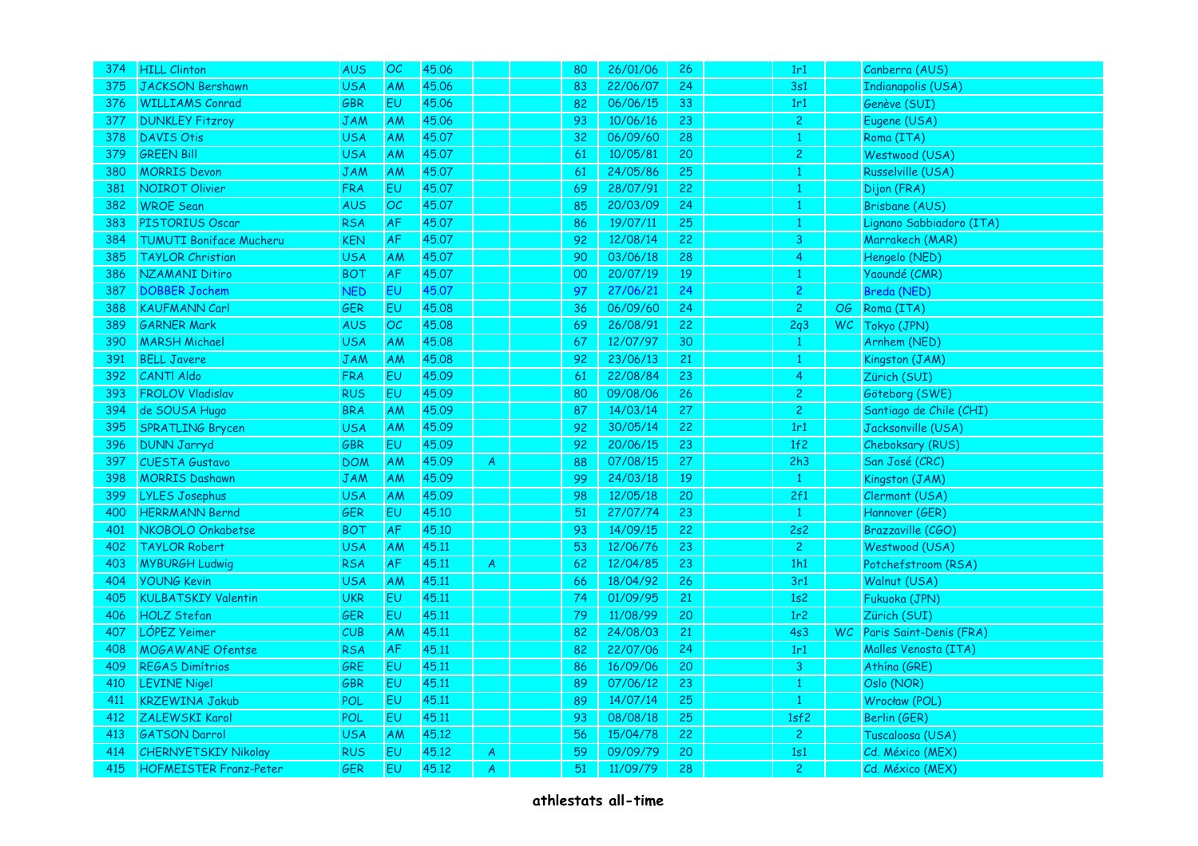| 374 | <b>HILL Clinton</b>            | <b>AUS</b> | OC        | 45.06 |                  | 80 | 26/01/06 | 26 | 1r1            |      | Canberra (AUS)           |
|-----|--------------------------------|------------|-----------|-------|------------------|----|----------|----|----------------|------|--------------------------|
| 375 | <b>JACKSON Bershawn</b>        | <b>USA</b> | AM        | 45.06 |                  | 83 | 22/06/07 | 24 | 3s1            |      | Indianapolis (USA)       |
| 376 | <b>WILLIAMS Conrad</b>         | GBR        | EU        | 45.06 |                  | 82 | 06/06/15 | 33 | 1r1            |      | Genève (SUI)             |
| 377 | <b>DUNKLEY Fitzroy</b>         | JAM        | AM        | 45.06 |                  | 93 | 10/06/16 | 23 | $\overline{2}$ |      | Eugene (USA)             |
| 378 | <b>DAVIS Otis</b>              | <b>USA</b> | <b>AM</b> | 45.07 |                  | 32 | 06/09/60 | 28 | $\mathbf{1}$   |      | Roma (ITA)               |
| 379 | <b>GREEN Bill</b>              | <b>USA</b> | AM        | 45.07 |                  | 61 | 10/05/81 | 20 | $\overline{c}$ |      | Westwood (USA)           |
| 380 | <b>MORRIS Devon</b>            | <b>JAM</b> | AM        | 45.07 |                  | 61 | 24/05/86 | 25 | $\mathbf{1}$   |      | Russelville (USA)        |
| 381 | <b>NOIROT Olivier</b>          | <b>FRA</b> | EU        | 45.07 |                  | 69 | 28/07/91 | 22 | $\mathbf{1}$   |      | Dijon (FRA)              |
| 382 | <b>WROE</b> Sean               | <b>AUS</b> | OC        | 45.07 |                  | 85 | 20/03/09 | 24 | 1              |      | Brisbane (AUS)           |
| 383 | PISTORIUS Oscar                | <b>RSA</b> | <b>AF</b> | 45.07 |                  | 86 | 19/07/11 | 25 | $\mathbf{1}$   |      | Lignano Sabbiadoro (ITA) |
| 384 | <b>TUMUTI Boniface Mucheru</b> | KEN        | AF        | 45.07 |                  | 92 | 12/08/14 | 22 | 3              |      | Marrakech (MAR)          |
| 385 | <b>TAYLOR Christian</b>        | <b>USA</b> | AM        | 45.07 |                  | 90 | 03/06/18 | 28 | $\overline{4}$ |      | Hengelo (NED)            |
| 386 | <b>NZAMANI Ditiro</b>          | <b>BOT</b> | AF        | 45.07 |                  | 00 | 20/07/19 | 19 | $\mathbf{1}$   |      | Yaoundé (CMR)            |
| 387 | <b>DOBBER Jochem</b>           | <b>NED</b> | EU        | 45.07 |                  | 97 | 27/06/21 | 24 | $\overline{2}$ |      | Breda (NED)              |
| 388 | <b>KAUFMANN Carl</b>           | GER        | EU        | 45.08 |                  | 36 | 06/09/60 | 24 | $\overline{2}$ | OG   | Roma (ITA)               |
| 389 | <b>GARNER Mark</b>             | <b>AUS</b> | OC        | 45.08 |                  | 69 | 26/08/91 | 22 | 2q3            | WC   | Tokyo (JPN)              |
| 390 | <b>MARSH Michael</b>           | <b>USA</b> | AM        | 45.08 |                  | 67 | 12/07/97 | 30 | $\mathbf{1}$   |      | Arnhem (NED)             |
| 391 | <b>BELL Javere</b>             | JAM        | AM        | 45.08 |                  | 92 | 23/06/13 | 21 | 1              |      | Kingston (JAM)           |
| 392 | <b>CANTI Aldo</b>              | <b>FRA</b> | <b>EU</b> | 45.09 |                  | 61 | 22/08/84 | 23 | $\overline{4}$ |      | Zürich (SUI)             |
| 393 | <b>FROLOV Vladislav</b>        | <b>RUS</b> | EU        | 45.09 |                  | 80 | 09/08/06 | 26 | $\overline{2}$ |      | Göteborg (SWE)           |
| 394 | de SOUSA Hugo                  | <b>BRA</b> | AM        | 45.09 |                  | 87 | 14/03/14 | 27 | $\overline{2}$ |      | Santiago de Chile (CHI)  |
| 395 | <b>SPRATLING Brycen</b>        | <b>USA</b> | AM        | 45.09 |                  | 92 | 30/05/14 | 22 | 1r1            |      | Jacksonville (USA)       |
| 396 | <b>DUNN Jarryd</b>             | GBR        | <b>EU</b> | 45.09 |                  | 92 | 20/06/15 | 23 | 1f2            |      | Cheboksary (RUS)         |
| 397 | <b>CUESTA Gustavo</b>          | <b>DOM</b> | AM        | 45.09 | A                | 88 | 07/08/15 | 27 | 2h3            |      | San José (CRC)           |
| 398 | <b>MORRIS Dashawn</b>          | <b>JAM</b> | AM        | 45.09 |                  | 99 | 24/03/18 | 19 | 1              |      | Kingston (JAM)           |
| 399 | <b>LYLES Josephus</b>          | <b>USA</b> | AM        | 45.09 |                  | 98 | 12/05/18 | 20 | 2f1            |      | Clermont (USA)           |
| 400 | <b>HERRMANN Bernd</b>          | GER        | EU        | 45.10 |                  | 51 | 27/07/74 | 23 | $\mathbf{1}$   |      | Hannover (GER)           |
| 401 | NKOBOLO Onkabetse              | <b>BOT</b> | AF        | 45.10 |                  | 93 | 14/09/15 | 22 | 2s2            |      | Brazzaville (CGO)        |
| 402 | <b>TAYLOR Robert</b>           | <b>USA</b> | AM        | 45.11 |                  | 53 | 12/06/76 | 23 | $\overline{2}$ |      | Westwood (USA)           |
| 403 | <b>MYBURGH Ludwig</b>          | <b>RSA</b> | <b>AF</b> | 45.11 | $\boldsymbol{A}$ | 62 | 12/04/85 | 23 | 1h1            |      | Potchefstroom (RSA)      |
| 404 | <b>YOUNG Kevin</b>             | <b>USA</b> | AM        | 45.11 |                  | 66 | 18/04/92 | 26 | 3r1            |      | Walnut (USA)             |
| 405 | <b>KULBATSKIY Valentin</b>     | <b>UKR</b> | <b>EU</b> | 45.11 |                  | 74 | 01/09/95 | 21 | 1s2            |      | Fukuoka (JPN)            |
| 406 | <b>HOLZ Stefan</b>             | GER        | EU        | 45.11 |                  | 79 | 11/08/99 | 20 | 1r2            |      | Zürich (SUI)             |
| 407 | LÓPEZ Yeimer                   | <b>CUB</b> | AM        | 45.11 |                  | 82 | 24/08/03 | 21 | 4s3            | WC . | Paris Saint-Denis (FRA)  |
| 408 | <b>MOGAWANE Ofentse</b>        | <b>RSA</b> | AF        | 45.11 |                  | 82 | 22/07/06 | 24 | 1r1            |      | Malles Venosta (ITA)     |
| 409 | <b>REGAS Dimítrios</b>         | GRE        | EU        | 45.11 |                  | 86 | 16/09/06 | 20 | $\overline{3}$ |      | Athína (GRE)             |
| 410 | <b>LEVINE Nigel</b>            | GBR        | EU        | 45.11 |                  | 89 | 07/06/12 | 23 | $\mathbf{1}$   |      | Oslo (NOR)               |
| 411 | <b>KRZEWINA Jakub</b>          | <b>POL</b> | EU        | 45.11 |                  | 89 | 14/07/14 | 25 | $\mathbf{1}$   |      | Wrocław (POL)            |
| 412 | ZALEWSKI Karol                 | POL        | EU        | 45.11 |                  | 93 | 08/08/18 | 25 | 1sf2           |      | Berlin (GER)             |
| 413 | <b>GATSON Darrol</b>           | <b>USA</b> | AM        | 45.12 |                  | 56 | 15/04/78 | 22 | $\overline{c}$ |      | Tuscaloosa (USA)         |
| 414 | <b>CHERNYETSKIY Nikolay</b>    | <b>RUS</b> | EU        | 45.12 | $\boldsymbol{A}$ | 59 | 09/09/79 | 20 | 1s1            |      | Cd. México (MEX)         |
| 415 | <b>HOFMEISTER Franz-Peter</b>  | GER        | EU        | 45.12 | $\overline{A}$   | 51 | 11/09/79 | 28 | $\overline{c}$ |      | Cd. México (MEX)         |
|     |                                |            |           |       |                  |    |          |    |                |      |                          |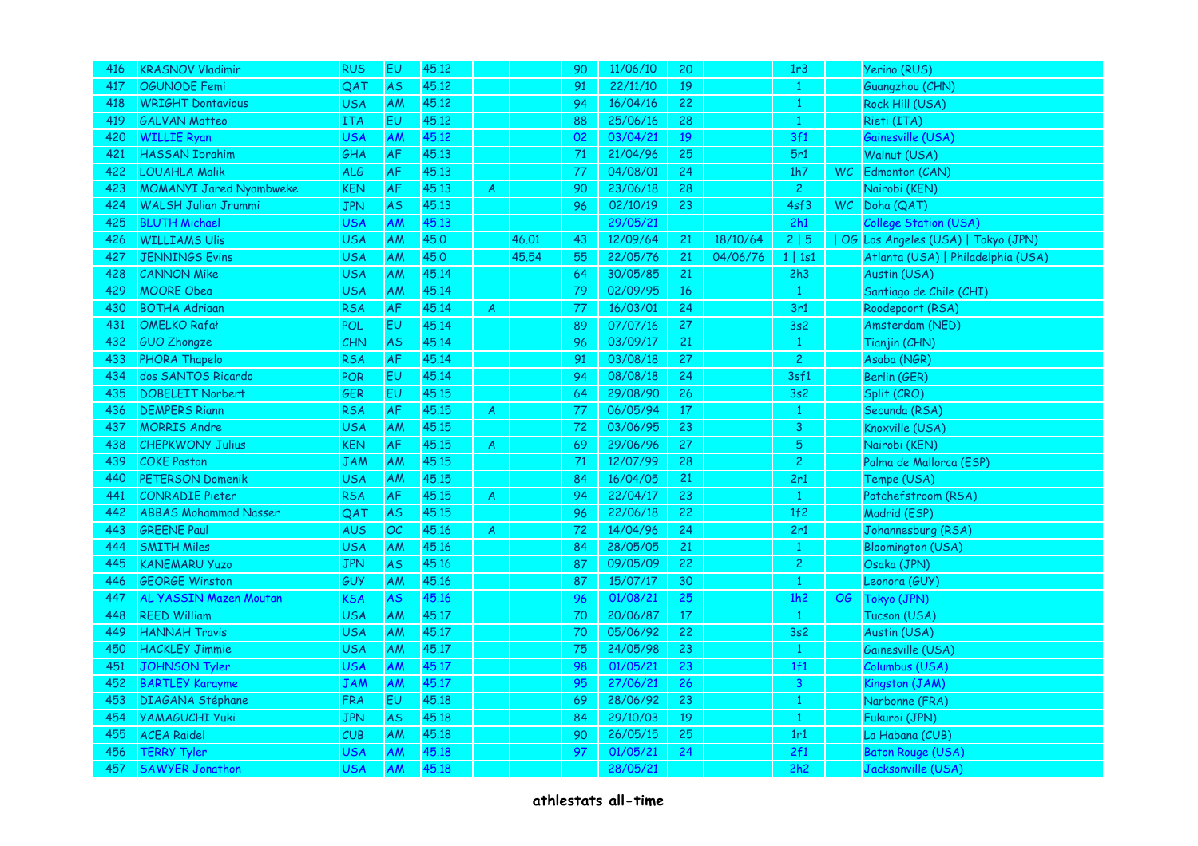| 416 | <b>KRASNOV Vladimir</b>        | <b>RUS</b> | EU        | 45.12 |                  |       | 90     | 11/06/10 | 20     |          | 1r3            | Yerino (RUS)                       |
|-----|--------------------------------|------------|-----------|-------|------------------|-------|--------|----------|--------|----------|----------------|------------------------------------|
| 417 | OGUNODE Femi                   | QAT        | <b>AS</b> | 45.12 |                  |       | 91     | 22/11/10 | 19     |          | 1              | Guangzhou (CHN)                    |
| 418 | <b>WRIGHT Dontavious</b>       | <b>USA</b> | AM        | 45.12 |                  |       | 94     | 16/04/16 | 22     |          | $\mathbf{1}$   | Rock Hill (USA)                    |
| 419 | <b>GALVAN Matteo</b>           | <b>ITA</b> | EU        | 45,12 |                  |       | 88     | 25/06/16 | 28     |          | $\mathbf{1}$   | Rieti (ITA)                        |
| 420 | <b>WILLIE Ryan</b>             | <b>USA</b> | AM        | 45.12 |                  |       | 02     | 03/04/21 | 19     |          | 3f1            | Gainesville (USA)                  |
| 421 | <b>HASSAN Ibrahim</b>          | GHA        | AF        | 45.13 |                  |       | $71\,$ | 21/04/96 | 25     |          | 5r1            | Walnut (USA)                       |
| 422 | <b>LOUAHLA Malik</b>           | <b>ALG</b> | AF        | 45.13 |                  |       | 77     | 04/08/01 | 24     |          | 1h7            | WC Edmonton (CAN)                  |
| 423 | <b>MOMANYI Jared Nyambweke</b> | <b>KEN</b> | AF        | 45.13 | $\overline{A}$   |       | 90     | 23/06/18 | 28     |          | $\overline{2}$ | Nairobi (KEN)                      |
| 424 | <b>WALSH Julian Jrummi</b>     | <b>JPN</b> | <b>AS</b> | 45.13 |                  |       | 96     | 02/10/19 | 23     |          | 4sf3           | WC Doha (QAT)                      |
| 425 | <b>BLUTH Michael</b>           | <b>USA</b> | AM        | 45.13 |                  |       |        | 29/05/21 |        |          | 2h1            | <b>College Station (USA)</b>       |
| 426 | <b>WILLIAMS Ulis</b>           | <b>USA</b> | AM        | 45.0  |                  | 46.01 | 43     | 12/09/64 | 21     | 18/10/64 | 2 5            | OG Los Angeles (USA)   Tokyo (JPN) |
| 427 | <b>JENNINGS Evins</b>          | <b>USA</b> | AM        | 45.0  |                  | 45.54 | 55     | 22/05/76 | 21     | 04/06/76 | 1   1s1        | Atlanta (USA)   Philadelphia (USA) |
| 428 | <b>CANNON Mike</b>             | <b>USA</b> | AM        | 45.14 |                  |       | 64     | 30/05/85 | 21     |          | 2h3            | Austin (USA)                       |
| 429 | <b>MOORE Obea</b>              | <b>USA</b> | AM        | 45.14 |                  |       | 79     | 02/09/95 | 16     |          | $\mathbf{1}$   | Santiago de Chile (CHI)            |
| 430 | <b>BOTHA Adrigan</b>           | <b>RSA</b> | AF        | 45.14 | $\overline{A}$   |       | 77     | 16/03/01 | 24     |          | 3r1            | Roodepoort (RSA)                   |
| 431 | <b>OMELKO Rafał</b>            | POL        | EU        | 45.14 |                  |       | 89     | 07/07/16 | 27     |          | 3s2            | Amsterdam (NED)                    |
| 432 | <b>GUO Zhongze</b>             | CHN        | <b>AS</b> | 45.14 |                  |       | 96     | 03/09/17 | 21     |          | $\mathbf{1}$   | Tianjin (CHN)                      |
| 433 | PHORA Thapelo                  | <b>RSA</b> | AF        | 45.14 |                  |       | 91     | 03/08/18 | 27     |          | $\overline{c}$ | Asaba (NGR)                        |
| 434 | dos SANTOS Ricardo             | <b>POR</b> | EU        | 45.14 |                  |       | 94     | 08/08/18 | 24     |          | 3sf1           | Berlin (GER)                       |
| 435 | <b>DOBELEIT Norbert</b>        | GER        | EU        | 45.15 |                  |       | 64     | 29/08/90 | 26     |          | 3s2            | Split (CRO)                        |
| 436 | <b>DEMPERS Riann</b>           | <b>RSA</b> | AF        | 45.15 | $\boldsymbol{A}$ |       | 77     | 06/05/94 | $17\,$ |          | $\mathbf{1}$   | Secunda (RSA)                      |
| 437 | <b>MORRIS Andre</b>            | <b>USA</b> | AM        | 45.15 |                  |       | $72$   | 03/06/95 | 23     |          | $\mathsf{3}$   | Knoxville (USA)                    |
| 438 | <b>CHEPKWONY Julius</b>        | <b>KEN</b> | AF        | 45.15 | A                |       | 69     | 29/06/96 | 27     |          | 5              | Nairobi (KEN)                      |
| 439 | <b>COKE Paston</b>             | <b>JAM</b> | AM        | 45.15 |                  |       | 71     | 12/07/99 | 28     |          | $\overline{c}$ | Palma de Mallorca (ESP)            |
| 440 | <b>PETERSON Domenik</b>        | <b>USA</b> | AM        | 45.15 |                  |       | 84     | 16/04/05 | 21     |          | 2r1            | Tempe (USA)                        |
| 441 | <b>CONRADIE Pieter</b>         | <b>RSA</b> | <b>AF</b> | 45.15 | $\overline{A}$   |       | 94     | 22/04/17 | 23     |          | $\mathbf{1}$   | Potchefstroom (RSA)                |
| 442 | <b>ABBAS Mohammad Nasser</b>   | QAT        | <b>AS</b> | 45.15 |                  |       | 96     | 22/06/18 | 22     |          | 1f2            | Madrid (ESP)                       |
| 443 | <b>GREENE Paul</b>             | <b>AUS</b> | OC        | 45.16 | $\boldsymbol{A}$ |       | 72     | 14/04/96 | 24     |          | 2r1            | Johannesburg (RSA)                 |
| 444 | <b>SMITH Miles</b>             | <b>USA</b> | AM        | 45.16 |                  |       | 84     | 28/05/05 | 21     |          | $\mathbf{1}$   | <b>Bloomington (USA)</b>           |
| 445 | <b>KANEMARU Yuzo</b>           | <b>JPN</b> | <b>AS</b> | 45.16 |                  |       | 87     | 09/05/09 | 22     |          | $\overline{2}$ | Osaka (JPN)                        |
| 446 | <b>GEORGE Winston</b>          | GUY        | AM        | 45.16 |                  |       | 87     | 15/07/17 | 30     |          | $\mathbf{1}$   | Leonora (GUY)                      |
| 447 | <b>AL YASSIN Mazen Moutan</b>  | KSA        | <b>AS</b> | 45.16 |                  |       | 96     | 01/08/21 | 25     |          | 1h2            | OG Tokyo (JPN)                     |
| 448 | <b>REED William</b>            | <b>USA</b> | AM        | 45.17 |                  |       | 70     | 20/06/87 | 17     |          | $\mathbf{1}$   | Tucson (USA)                       |
| 449 | <b>HANNAH Travis</b>           | <b>USA</b> | AM        | 45.17 |                  |       | 70     | 05/06/92 | 22     |          | 3s2            | Austin (USA)                       |
| 450 | <b>HACKLEY Jimmie</b>          | <b>USA</b> | AM        | 45,17 |                  |       | 75     | 24/05/98 | 23     |          | $\,1\,$        | Gainesville (USA)                  |
| 451 | <b>JOHNSON Tyler</b>           | <b>USA</b> | AM        | 45.17 |                  |       | 98     | 01/05/21 | 23     |          | 1f1            | Columbus (USA)                     |
| 452 | <b>BARTLEY Karayme</b>         | JAM        | AM        | 45.17 |                  |       | 95     | 27/06/21 | 26     |          | $\mathbf{3}$   | Kingston (JAM)                     |
| 453 | <b>DIAGANA Stéphane</b>        | <b>FRA</b> | EU        | 45.18 |                  |       | 69     | 28/06/92 | 23     |          | $\mathbf{1}$   | Narbonne (FRA)                     |
| 454 | <b>YAMAGUCHI Yuki</b>          | <b>JPN</b> | AS        | 45.18 |                  |       | 84     | 29/10/03 | 19     |          | $\mathbf{1}$   | Fukuroi (JPN)                      |
| 455 | <b>ACEA Raidel</b>             | CUB        | AM        | 45.18 |                  |       | 90     | 26/05/15 | 25     |          | 1r1            | La Habana (CUB)                    |
| 456 | <b>TERRY Tyler</b>             | USA        | AM        | 45.18 |                  |       | 97     | 01/05/21 | 24     |          | 2f1            | <b>Baton Rouge (USA)</b>           |
| 457 | <b>SAWYER Jonathon</b>         | <b>USA</b> | AM        | 45.18 |                  |       |        | 28/05/21 |        |          | 2h2            | Jacksonville (USA)                 |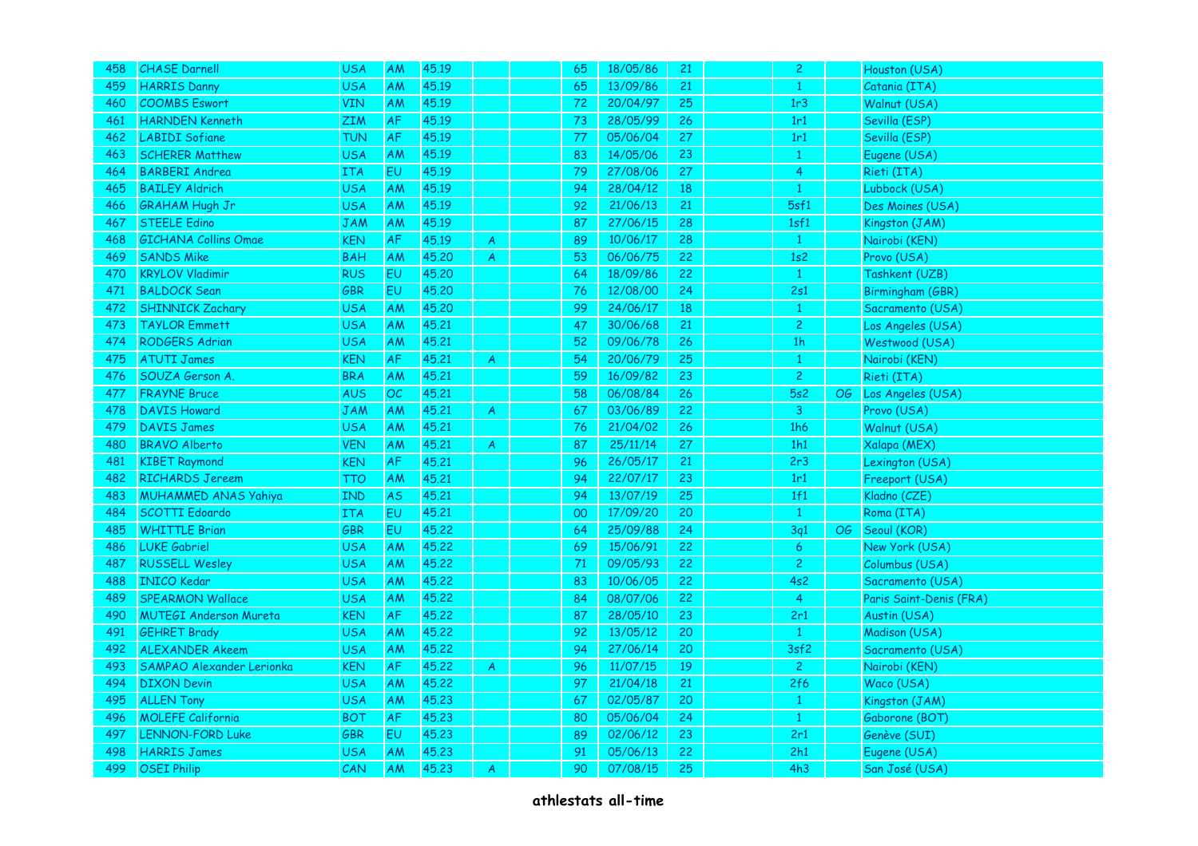| 458 | <b>CHASE Darnell</b>          | <b>USA</b> | AM        | 45.19 |                  | 65 | 18/05/86 | 21 | $\overline{2}$ | Houston (USA)           |
|-----|-------------------------------|------------|-----------|-------|------------------|----|----------|----|----------------|-------------------------|
| 459 | <b>HARRIS Danny</b>           | <b>USA</b> | AM        | 45.19 |                  | 65 | 13/09/86 | 21 | $\mathbf{1}$   | Catania (ITA)           |
| 460 | <b>COOMBS Eswort</b>          | <b>VIN</b> | <b>AM</b> | 45.19 |                  | 72 | 20/04/97 | 25 | 1r3            | Walnut (USA)            |
| 461 | <b>HARNDEN Kenneth</b>        | ZIM        | AF        | 45.19 |                  | 73 | 28/05/99 | 26 | 1r1            | Sevilla (ESP)           |
| 462 | <b>LABIDI Sofiane</b>         | <b>TUN</b> | AF        | 45.19 |                  | 77 | 05/06/04 | 27 | 1r1            | Sevilla (ESP)           |
| 463 | <b>SCHERER Matthew</b>        | <b>USA</b> | AM        | 45.19 |                  | 83 | 14/05/06 | 23 | $\mathbf{1}$   | Eugene (USA)            |
| 464 | <b>BARBERI Andrea</b>         | <b>ITA</b> | EU        | 45.19 |                  | 79 | 27/08/06 | 27 | $\overline{4}$ | Rieti (ITA)             |
| 465 | <b>BAILEY Aldrich</b>         | <b>USA</b> | AM        | 45.19 |                  | 94 | 28/04/12 | 18 | $\mathbf{1}$   | Lubbock (USA)           |
| 466 | <b>GRAHAM Hugh Jr</b>         | <b>USA</b> | AM        | 45.19 |                  | 92 | 21/06/13 | 21 | 5sf1           | Des Moines (USA)        |
| 467 | <b>STEELE Edino</b>           | <b>JAM</b> | AM        | 45.19 |                  | 87 | 27/06/15 | 28 | 1sf1           | Kingston (JAM)          |
| 468 | <b>GICHANA Collins Omae</b>   | KEN        | AF        | 45.19 | $\boldsymbol{A}$ | 89 | 10/06/17 | 28 | $\mathbf{1}$   | Nairobi (KEN)           |
| 469 | <b>SANDS Mike</b>             | <b>BAH</b> | AM        | 45.20 | $\overline{A}$   | 53 | 06/06/75 | 22 | 1s2            | Provo (USA)             |
| 470 | <b>KRYLOV Vladimir</b>        | <b>RUS</b> | EU        | 45.20 |                  | 64 | 18/09/86 | 22 | $\mathbf{1}$   | Tashkent (UZB)          |
| 471 | <b>BALDOCK Sean</b>           | GBR        | EU        | 45.20 |                  | 76 | 12/08/00 | 24 | 2s1            | Birmingham (GBR)        |
| 472 | <b>SHINNICK Zachary</b>       | <b>USA</b> | AM        | 45,20 |                  | 99 | 24/06/17 | 18 | $\mathbf{1}$   | Sacramento (USA)        |
| 473 | <b>TAYLOR Emmett</b>          | <b>USA</b> | AM        | 45.21 |                  | 47 | 30/06/68 | 21 | $\overline{2}$ | Los Angeles (USA)       |
| 474 | <b>RODGERS Adrian</b>         | <b>USA</b> | AM        | 45.21 |                  | 52 | 09/06/78 | 26 | 1 <sub>h</sub> | Westwood (USA)          |
| 475 | <b>ATUTI James</b>            | KEN        | AF        | 45.21 | A                | 54 | 20/06/79 | 25 | 1              | Nairobi (KEN)           |
| 476 | SOUZA Gerson A.               | <b>BRA</b> | AM        | 45.21 |                  | 59 | 16/09/82 | 23 | $\overline{c}$ | Rieti (ITA)             |
| 477 | <b>FRAYNE Bruce</b>           | <b>AUS</b> | OC        | 45.21 |                  | 58 | 06/08/84 | 26 | 5s2            | OG Los Angeles (USA)    |
| 478 | <b>DAVIS Howard</b>           | <b>JAM</b> | AM        | 45.21 | $\boldsymbol{A}$ | 67 | 03/06/89 | 22 | $\overline{3}$ | Provo (USA)             |
| 479 | <b>DAVIS James</b>            | <b>USA</b> | AM        | 45.21 |                  | 76 | 21/04/02 | 26 | 1h6            | Walnut (USA)            |
| 480 | <b>BRAVO Alberto</b>          | <b>VEN</b> | AM        | 45.21 | $\boldsymbol{A}$ | 87 | 25/11/14 | 27 | 1h1            | Xalapa (MEX)            |
| 481 | <b>KIBET Raymond</b>          | <b>KEN</b> | AF        | 45.21 |                  | 96 | 26/05/17 | 21 | 2r3            | Lexington (USA)         |
| 482 | <b>RICHARDS Jereem</b>        | TTO        | AM        | 45.21 |                  | 94 | 22/07/17 | 23 | 1r1            | Freeport (USA)          |
| 483 | <b>MUHAMMED ANAS Yahiya</b>   | <b>IND</b> | <b>AS</b> | 45.21 |                  | 94 | 13/07/19 | 25 | 1f1            | Kladno (CZE)            |
| 484 | <b>SCOTTI Edoardo</b>         | <b>ITA</b> | EU        | 45.21 |                  | 00 | 17/09/20 | 20 | $\mathbf{1}$   | Roma (ITA)              |
| 485 | <b>WHITTLE Brian</b>          | GBR        | EU        | 45.22 |                  | 64 | 25/09/88 | 24 | 3q1            | OG Seoul (KOR)          |
| 486 | <b>LUKE Gabriel</b>           | <b>USA</b> | AM        | 45.22 |                  | 69 | 15/06/91 | 22 | 6              | New York (USA)          |
| 487 | <b>RUSSELL Wesley</b>         | <b>USA</b> | AM        | 45.22 |                  | 71 | 09/05/93 | 22 | $\overline{2}$ | Columbus (USA)          |
| 488 | <b>INICO Kedar</b>            | <b>USA</b> | AM        | 45.22 |                  | 83 | 10/06/05 | 22 | 4s2            | Sacramento (USA)        |
| 489 | <b>SPEARMON Wallace</b>       | <b>USA</b> | AM        | 45,22 |                  | 84 | 08/07/06 | 22 | $\overline{4}$ | Paris Saint-Denis (FRA) |
| 490 | <b>MUTEGI Anderson Mureta</b> | <b>KEN</b> | AF        | 45.22 |                  | 87 | 28/05/10 | 23 | 2r1            | Austin (USA)            |
| 491 | <b>GEHRET Brady</b>           | <b>USA</b> | AM        | 45.22 |                  | 92 | 13/05/12 | 20 | $\mathbf{1}$   | Madison (USA)           |
| 492 | <b>ALEXANDER Akeem</b>        | <b>USA</b> | AM        | 45.22 |                  | 94 | 27/06/14 | 20 | 3sf2           | Sacramento (USA)        |
| 493 | SAMPAO Alexander Lerionka     | <b>KEN</b> | AF        | 45.22 | $\boldsymbol{A}$ | 96 | 11/07/15 | 19 | $\overline{2}$ | Nairobi (KEN)           |
| 494 | <b>DIXON Devin</b>            | <b>USA</b> | AM        | 45.22 |                  | 97 | 21/04/18 | 21 | 2f6            | Waco (USA)              |
| 495 | <b>ALLEN Tony</b>             | <b>USA</b> | AM        | 45.23 |                  | 67 | 02/05/87 | 20 | $\mathbf{1}$   | Kingston (JAM)          |
| 496 | <b>MOLEFE California</b>      | <b>BOT</b> | AF        | 45.23 |                  | 80 | 05/06/04 | 24 | $\mathbf{1}$   | Gaborone (BOT)          |
| 497 | <b>LENNON-FORD Luke</b>       | GBR        | EU        | 45.23 |                  | 89 | 02/06/12 | 23 | 2r1            | Genève (SUI)            |
| 498 | <b>HARRIS James</b>           | <b>USA</b> | AM        | 45.23 |                  | 91 | 05/06/13 | 22 | 2h1            | Eugene (USA)            |
| 499 | <b>OSEI Philip</b>            | CAN        | <b>AM</b> | 45,23 | A                | 90 | 07/08/15 | 25 | 4h3            | San José (USA)          |
|     |                               |            |           |       |                  |    |          |    |                |                         |